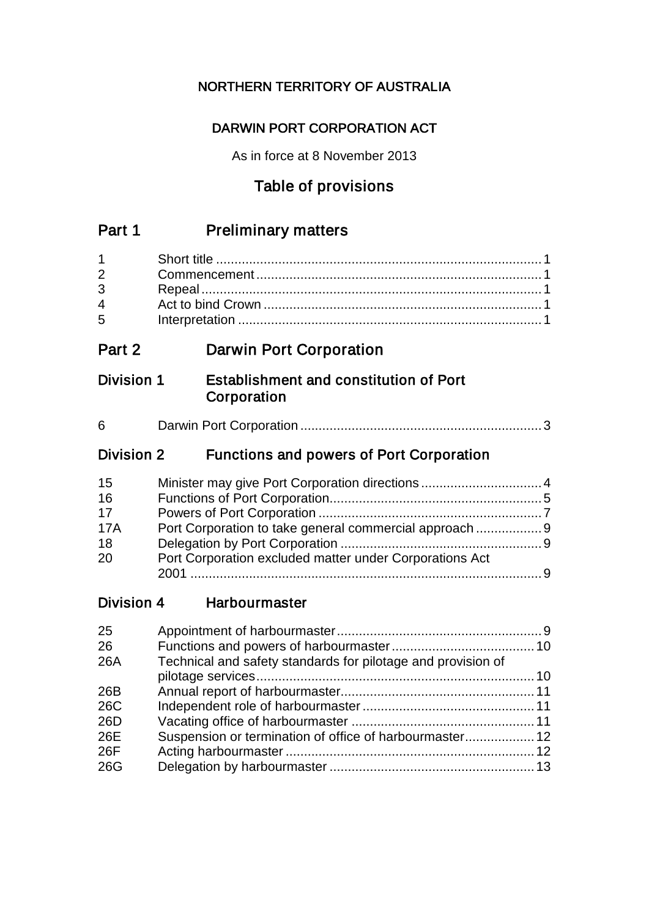# NORTHERN TERRITORY OF AUSTRALIA

# DARWIN PORT CORPORATION ACT

As in force at 8 November 2013

# Table of provisions

# Part 1 Preliminary matters

| $1 \quad \blacksquare$ |  |
|------------------------|--|
| $2^{\sim}$             |  |
| $3^{\circ}$            |  |
| $\frac{1}{4}$          |  |
| $5^{\circ}$            |  |
|                        |  |

# Part 2 Darwin Port Corporation

# Division 1 Establishment and constitution of Port **Corporation**

| 6 |
|---|
|---|

# Division 2 Functions and powers of Port Corporation

| 15         |                                                         |  |
|------------|---------------------------------------------------------|--|
| 16         |                                                         |  |
| 17         |                                                         |  |
| <b>17A</b> |                                                         |  |
| 18         |                                                         |  |
| 20         | Port Corporation excluded matter under Corporations Act |  |
|            |                                                         |  |

Division 4 Harbourmaster

| 25  |                                                              |  |
|-----|--------------------------------------------------------------|--|
| 26  |                                                              |  |
| 26A | Technical and safety standards for pilotage and provision of |  |
|     |                                                              |  |
| 26B |                                                              |  |
| 26C |                                                              |  |
| 26D |                                                              |  |
| 26E |                                                              |  |
| 26F |                                                              |  |
| 26G |                                                              |  |
|     |                                                              |  |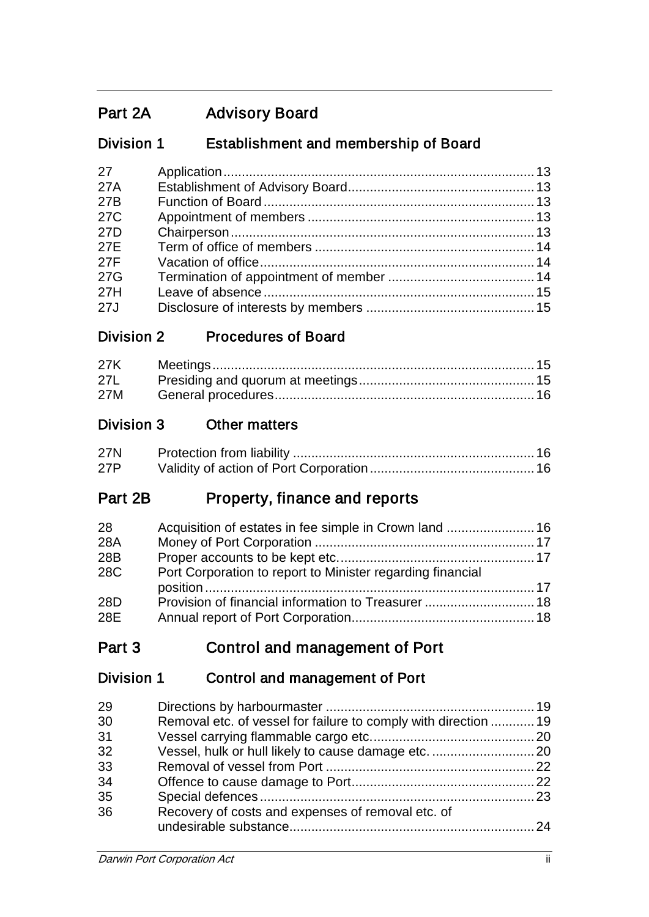# Part 2A Advisory Board

# Division 1 Establishment and membership of Board

| 27              |  |
|-----------------|--|
| 27A             |  |
| 27B             |  |
| 27 <sub>C</sub> |  |
| 27 <sub>D</sub> |  |
| 27E             |  |
| 27F             |  |
| 27G             |  |
| 27H             |  |
| 27J             |  |

# Division 2 Procedures of Board

| 27L |  |
|-----|--|
| 27M |  |

# Division 3 Other matters

| <b>27N</b> |  |
|------------|--|
| 27P        |  |

# Part 2B Property, finance and reports

| 28  | Acquisition of estates in fee simple in Crown land  16     |  |
|-----|------------------------------------------------------------|--|
| 28A |                                                            |  |
| 28B |                                                            |  |
| 28C | Port Corporation to report to Minister regarding financial |  |
|     |                                                            |  |
| 28D | Provision of financial information to Treasurer 18         |  |
| 28E |                                                            |  |

# Part 3 Control and management of Port

# Division 1 Control and management of Port

| Removal etc. of vessel for failure to comply with direction  19 |
|-----------------------------------------------------------------|
|                                                                 |
| Vessel, hulk or hull likely to cause damage etc.  20            |
|                                                                 |
|                                                                 |
|                                                                 |
|                                                                 |
|                                                                 |
|                                                                 |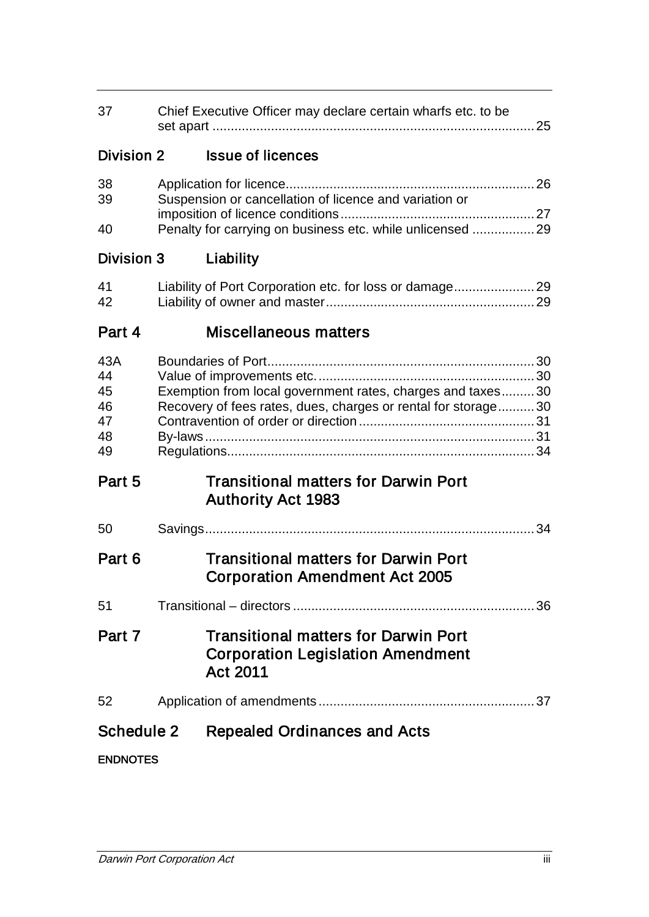| 37                                      | Chief Executive Officer may declare certain wharfs etc. to be<br>25                                                  |                                                                                                                             |  |
|-----------------------------------------|----------------------------------------------------------------------------------------------------------------------|-----------------------------------------------------------------------------------------------------------------------------|--|
| Division 2                              |                                                                                                                      | <b>Issue of licences</b>                                                                                                    |  |
| 38<br>39<br>40                          | Suspension or cancellation of licence and variation or<br>Penalty for carrying on business etc. while unlicensed  29 |                                                                                                                             |  |
| Division 3                              |                                                                                                                      | Liability                                                                                                                   |  |
| 41<br>42                                |                                                                                                                      |                                                                                                                             |  |
| Part 4                                  |                                                                                                                      | Miscellaneous matters                                                                                                       |  |
| 43A<br>44<br>45<br>46<br>47<br>48<br>49 |                                                                                                                      | Exemption from local government rates, charges and taxes30<br>Recovery of fees rates, dues, charges or rental for storage30 |  |
| Part 5                                  |                                                                                                                      | <b>Transitional matters for Darwin Port</b><br><b>Authority Act 1983</b>                                                    |  |
| 50                                      |                                                                                                                      |                                                                                                                             |  |
| Part 6                                  |                                                                                                                      | <b>Transitional matters for Darwin Port</b><br><b>Corporation Amendment Act 2005</b>                                        |  |
| 51                                      |                                                                                                                      |                                                                                                                             |  |
| Part 7                                  |                                                                                                                      | <b>Transitional matters for Darwin Port</b><br><b>Corporation Legislation Amendment</b><br>Act 2011                         |  |
| 52                                      |                                                                                                                      |                                                                                                                             |  |
| Schedule 2                              |                                                                                                                      | <b>Repealed Ordinances and Acts</b>                                                                                         |  |
| <b>ENDNOTES</b>                         |                                                                                                                      |                                                                                                                             |  |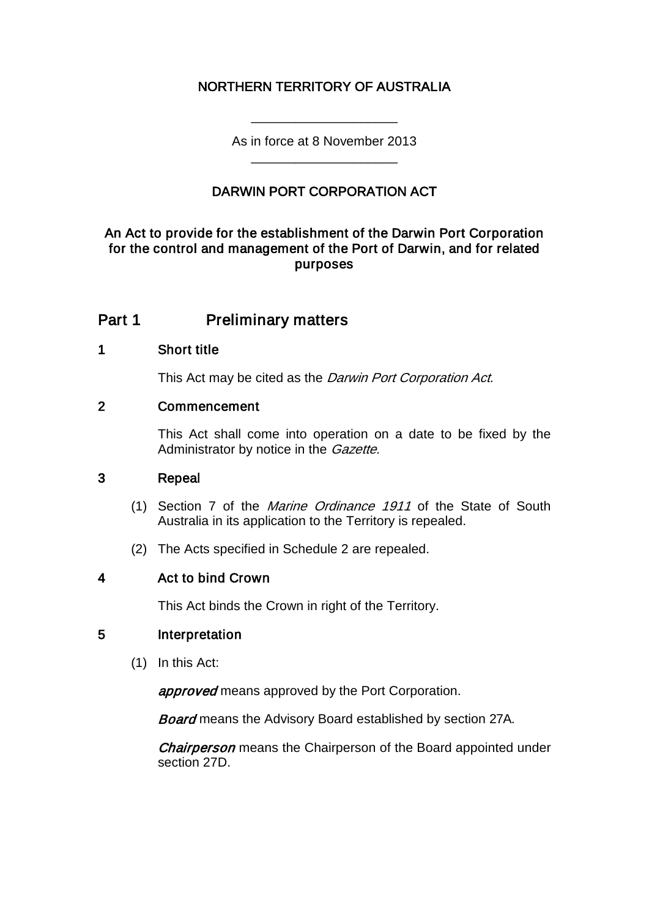# NORTHERN TERRITORY OF AUSTRALIA

As in force at 8 November 2013 \_\_\_\_\_\_\_\_\_\_\_\_\_\_\_\_\_\_\_\_

\_\_\_\_\_\_\_\_\_\_\_\_\_\_\_\_\_\_\_\_

# DARWIN PORT CORPORATION ACT

### An Act to provide for the establishment of the Darwin Port Corporation for the control and management of the Port of Darwin, and for related purposes

# Part 1 **Preliminary matters**

#### 1 Short title

This Act may be cited as the Darwin Port Corporation Act.

#### 2 Commencement

This Act shall come into operation on a date to be fixed by the Administrator by notice in the *Gazette*.

#### 3 Repeal

- (1) Section 7 of the Marine Ordinance 1911 of the State of South Australia in its application to the Territory is repealed.
- (2) The Acts specified in Schedule 2 are repealed.

### 4 Act to bind Crown

This Act binds the Crown in right of the Territory.

### 5 Interpretation

(1) In this Act:

**approved** means approved by the Port Corporation.

**Board** means the Advisory Board established by section 27A.

**Chairperson** means the Chairperson of the Board appointed under section 27D.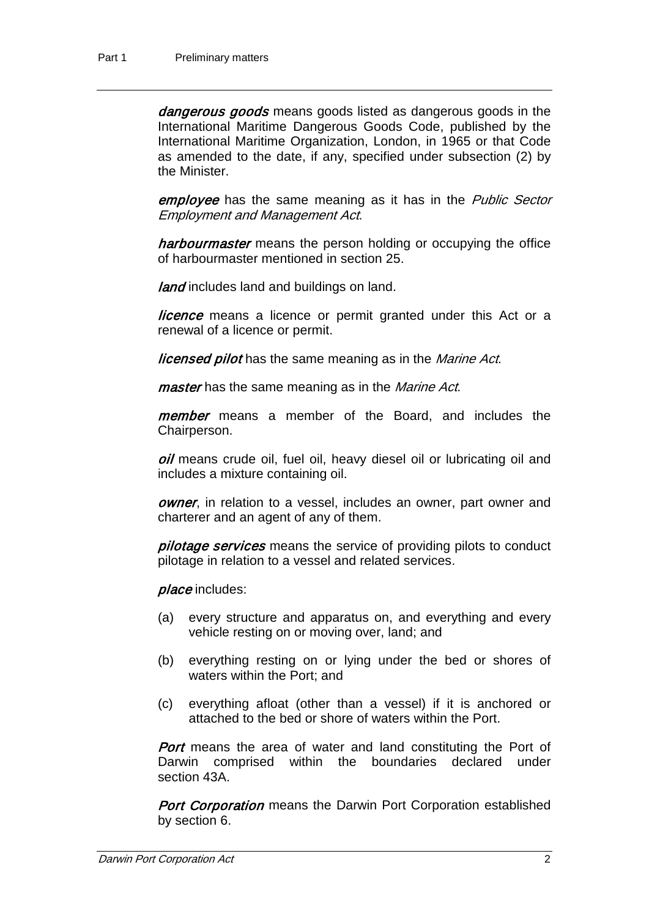dangerous goods means goods listed as dangerous goods in the International Maritime Dangerous Goods Code, published by the International Maritime Organization, London, in 1965 or that Code as amended to the date, if any, specified under subsection (2) by the Minister.

employee has the same meaning as it has in the Public Sector Employment and Management Act.

harbourmaster means the person holding or occupying the office of harbourmaster mentioned in section 25.

land includes land and buildings on land.

*licence* means a licence or permit granted under this Act or a renewal of a licence or permit.

**licensed pilot** has the same meaning as in the *Marine Act*.

master has the same meaning as in the Marine Act.

member means a member of the Board, and includes the Chairperson.

oil means crude oil, fuel oil, heavy diesel oil or lubricating oil and includes a mixture containing oil.

owner, in relation to a vessel, includes an owner, part owner and charterer and an agent of any of them.

pilotage services means the service of providing pilots to conduct pilotage in relation to a vessel and related services.

place includes:

- (a) every structure and apparatus on, and everything and every vehicle resting on or moving over, land; and
- (b) everything resting on or lying under the bed or shores of waters within the Port; and
- (c) everything afloat (other than a vessel) if it is anchored or attached to the bed or shore of waters within the Port.

**Port** means the area of water and land constituting the Port of Darwin comprised within the boundaries declared under section 43A.

**Port Corporation** means the Darwin Port Corporation established by section 6.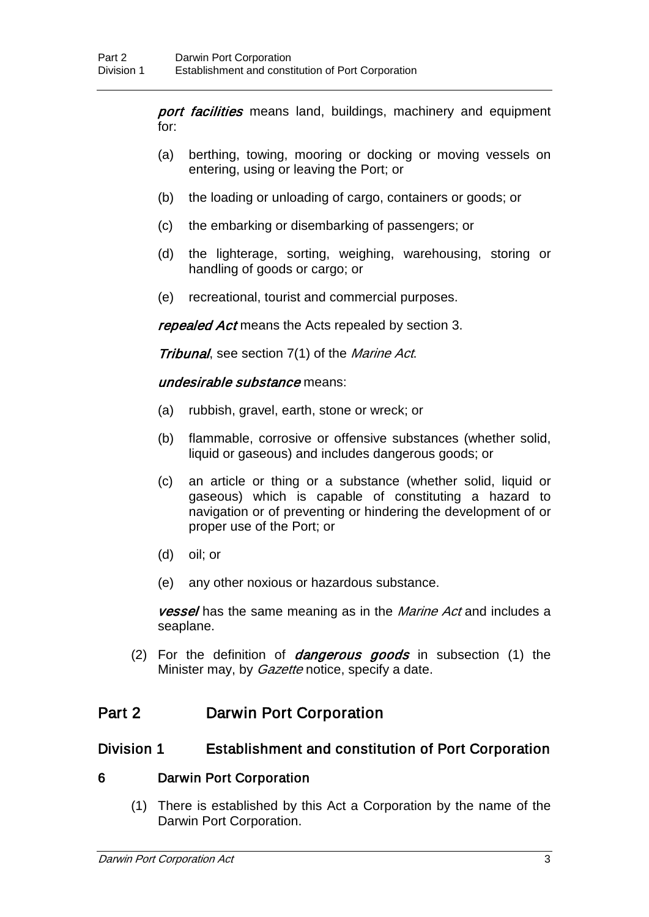port facilities means land, buildings, machinery and equipment for:

- (a) berthing, towing, mooring or docking or moving vessels on entering, using or leaving the Port; or
- (b) the loading or unloading of cargo, containers or goods; or
- (c) the embarking or disembarking of passengers; or
- (d) the lighterage, sorting, weighing, warehousing, storing or handling of goods or cargo; or
- (e) recreational, tourist and commercial purposes.

repealed Act means the Acts repealed by section 3.

Tribunal, see section 7(1) of the Marine Act.

#### undesirable substance means:

- (a) rubbish, gravel, earth, stone or wreck; or
- (b) flammable, corrosive or offensive substances (whether solid, liquid or gaseous) and includes dangerous goods; or
- (c) an article or thing or a substance (whether solid, liquid or gaseous) which is capable of constituting a hazard to navigation or of preventing or hindering the development of or proper use of the Port; or
- (d) oil; or
- (e) any other noxious or hazardous substance.

**vessel** has the same meaning as in the *Marine Act* and includes a seaplane.

(2) For the definition of *dangerous goods* in subsection  $(1)$  the Minister may, by *Gazette* notice, specify a date.

# Part 2 Darwin Port Corporation

### Division 1 Establishment and constitution of Port Corporation

### 6 Darwin Port Corporation

(1) There is established by this Act a Corporation by the name of the Darwin Port Corporation.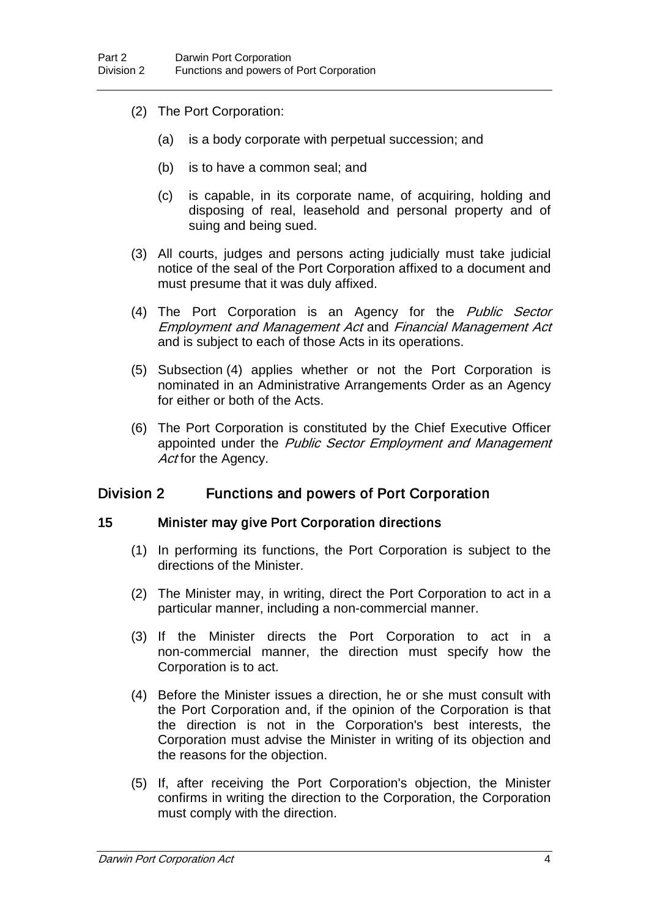- (2) The Port Corporation:
	- (a) is a body corporate with perpetual succession; and
	- (b) is to have a common seal; and
	- (c) is capable, in its corporate name, of acquiring, holding and disposing of real, leasehold and personal property and of suing and being sued.
- (3) All courts, judges and persons acting judicially must take judicial notice of the seal of the Port Corporation affixed to a document and must presume that it was duly affixed.
- (4) The Port Corporation is an Agency for the Public Sector Employment and Management Act and Financial Management Act and is subject to each of those Acts in its operations.
- (5) Subsection (4) applies whether or not the Port Corporation is nominated in an Administrative Arrangements Order as an Agency for either or both of the Acts.
- (6) The Port Corporation is constituted by the Chief Executive Officer appointed under the Public Sector Employment and Management Act for the Agency.

### Division 2 Functions and powers of Port Corporation

#### 15 Minister may give Port Corporation directions

- (1) In performing its functions, the Port Corporation is subject to the directions of the Minister.
- (2) The Minister may, in writing, direct the Port Corporation to act in a particular manner, including a non-commercial manner.
- (3) If the Minister directs the Port Corporation to act in a non-commercial manner, the direction must specify how the Corporation is to act.
- (4) Before the Minister issues a direction, he or she must consult with the Port Corporation and, if the opinion of the Corporation is that the direction is not in the Corporation's best interests, the Corporation must advise the Minister in writing of its objection and the reasons for the objection.
- (5) If, after receiving the Port Corporation's objection, the Minister confirms in writing the direction to the Corporation, the Corporation must comply with the direction.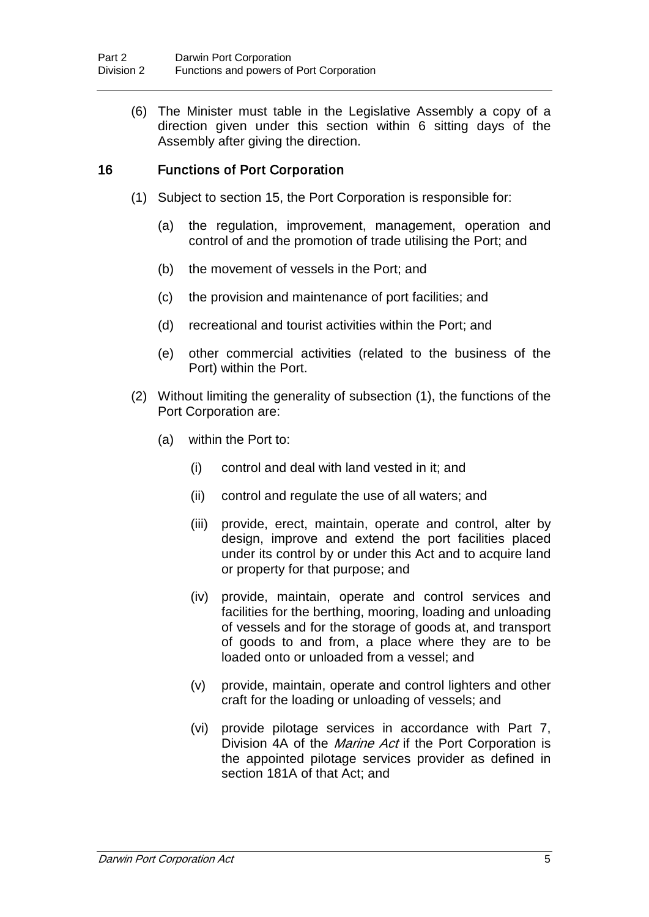(6) The Minister must table in the Legislative Assembly a copy of a direction given under this section within 6 sitting days of the Assembly after giving the direction.

### 16 Functions of Port Corporation

- (1) Subject to section 15, the Port Corporation is responsible for:
	- (a) the regulation, improvement, management, operation and control of and the promotion of trade utilising the Port; and
	- (b) the movement of vessels in the Port; and
	- (c) the provision and maintenance of port facilities; and
	- (d) recreational and tourist activities within the Port; and
	- (e) other commercial activities (related to the business of the Port) within the Port.
- (2) Without limiting the generality of subsection (1), the functions of the Port Corporation are:
	- (a) within the Port to:
		- (i) control and deal with land vested in it; and
		- (ii) control and regulate the use of all waters; and
		- (iii) provide, erect, maintain, operate and control, alter by design, improve and extend the port facilities placed under its control by or under this Act and to acquire land or property for that purpose; and
		- (iv) provide, maintain, operate and control services and facilities for the berthing, mooring, loading and unloading of vessels and for the storage of goods at, and transport of goods to and from, a place where they are to be loaded onto or unloaded from a vessel; and
		- (v) provide, maintain, operate and control lighters and other craft for the loading or unloading of vessels; and
		- (vi) provide pilotage services in accordance with Part 7, Division 4A of the *Marine Act* if the Port Corporation is the appointed pilotage services provider as defined in section 181A of that Act; and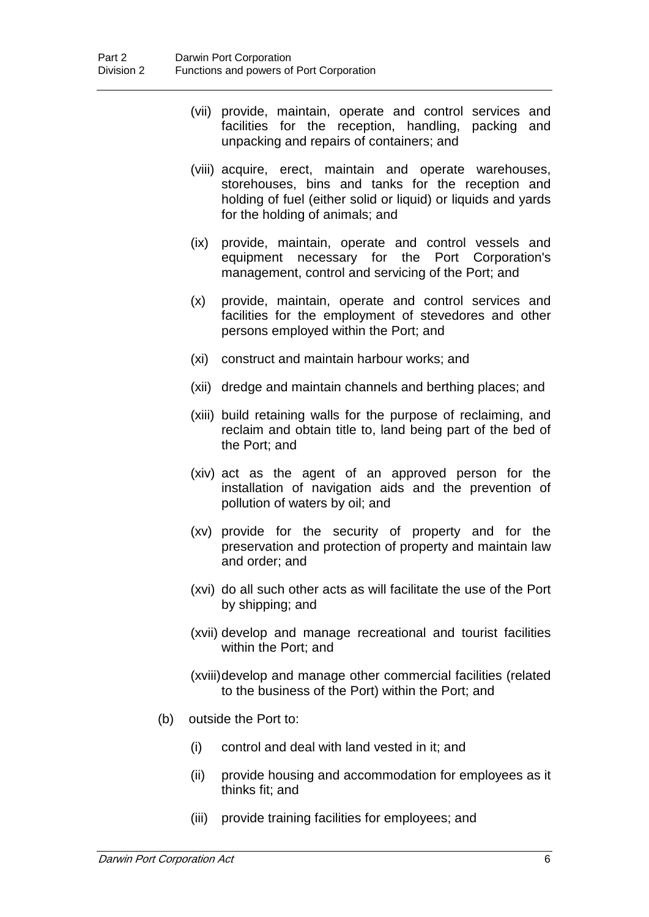- (vii) provide, maintain, operate and control services and facilities for the reception, handling, packing and unpacking and repairs of containers; and
- (viii) acquire, erect, maintain and operate warehouses, storehouses, bins and tanks for the reception and holding of fuel (either solid or liquid) or liquids and yards for the holding of animals; and
- (ix) provide, maintain, operate and control vessels and equipment necessary for the Port Corporation's management, control and servicing of the Port; and
- (x) provide, maintain, operate and control services and facilities for the employment of stevedores and other persons employed within the Port; and
- (xi) construct and maintain harbour works; and
- (xii) dredge and maintain channels and berthing places; and
- (xiii) build retaining walls for the purpose of reclaiming, and reclaim and obtain title to, land being part of the bed of the Port; and
- (xiv) act as the agent of an approved person for the installation of navigation aids and the prevention of pollution of waters by oil; and
- (xv) provide for the security of property and for the preservation and protection of property and maintain law and order; and
- (xvi) do all such other acts as will facilitate the use of the Port by shipping; and
- (xvii) develop and manage recreational and tourist facilities within the Port; and

(xviii)develop and manage other commercial facilities (related to the business of the Port) within the Port; and

- (b) outside the Port to:
	- (i) control and deal with land vested in it; and
	- (ii) provide housing and accommodation for employees as it thinks fit; and
	- (iii) provide training facilities for employees; and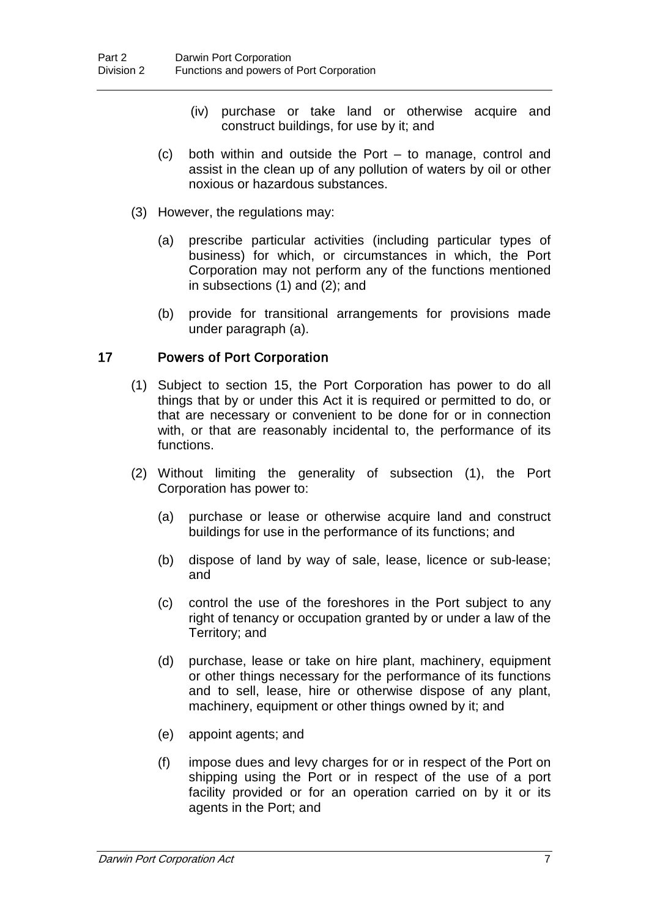- (iv) purchase or take land or otherwise acquire and construct buildings, for use by it; and
- (c) both within and outside the Port to manage, control and assist in the clean up of any pollution of waters by oil or other noxious or hazardous substances.
- (3) However, the regulations may:
	- (a) prescribe particular activities (including particular types of business) for which, or circumstances in which, the Port Corporation may not perform any of the functions mentioned in subsections (1) and (2); and
	- (b) provide for transitional arrangements for provisions made under paragraph (a).

#### 17 Powers of Port Corporation

- (1) Subject to section 15, the Port Corporation has power to do all things that by or under this Act it is required or permitted to do, or that are necessary or convenient to be done for or in connection with, or that are reasonably incidental to, the performance of its functions.
- (2) Without limiting the generality of subsection (1), the Port Corporation has power to:
	- (a) purchase or lease or otherwise acquire land and construct buildings for use in the performance of its functions; and
	- (b) dispose of land by way of sale, lease, licence or sub-lease; and
	- (c) control the use of the foreshores in the Port subject to any right of tenancy or occupation granted by or under a law of the Territory; and
	- (d) purchase, lease or take on hire plant, machinery, equipment or other things necessary for the performance of its functions and to sell, lease, hire or otherwise dispose of any plant, machinery, equipment or other things owned by it; and
	- (e) appoint agents; and
	- (f) impose dues and levy charges for or in respect of the Port on shipping using the Port or in respect of the use of a port facility provided or for an operation carried on by it or its agents in the Port; and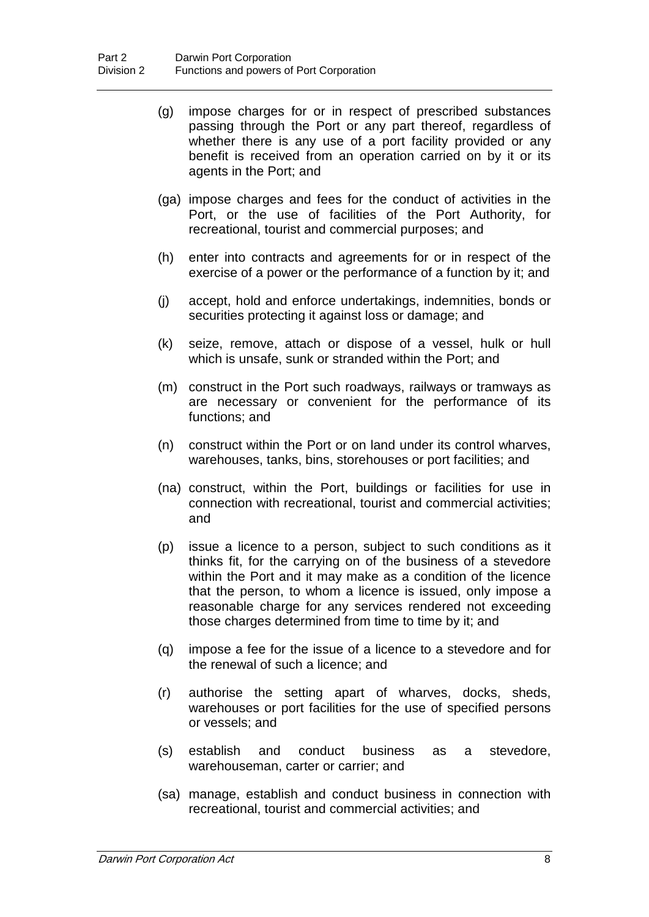- (g) impose charges for or in respect of prescribed substances passing through the Port or any part thereof, regardless of whether there is any use of a port facility provided or any benefit is received from an operation carried on by it or its agents in the Port; and
- (ga) impose charges and fees for the conduct of activities in the Port, or the use of facilities of the Port Authority, for recreational, tourist and commercial purposes; and
- (h) enter into contracts and agreements for or in respect of the exercise of a power or the performance of a function by it; and
- (j) accept, hold and enforce undertakings, indemnities, bonds or securities protecting it against loss or damage; and
- (k) seize, remove, attach or dispose of a vessel, hulk or hull which is unsafe, sunk or stranded within the Port; and
- (m) construct in the Port such roadways, railways or tramways as are necessary or convenient for the performance of its functions; and
- (n) construct within the Port or on land under its control wharves, warehouses, tanks, bins, storehouses or port facilities; and
- (na) construct, within the Port, buildings or facilities for use in connection with recreational, tourist and commercial activities; and
- (p) issue a licence to a person, subject to such conditions as it thinks fit, for the carrying on of the business of a stevedore within the Port and it may make as a condition of the licence that the person, to whom a licence is issued, only impose a reasonable charge for any services rendered not exceeding those charges determined from time to time by it; and
- (q) impose a fee for the issue of a licence to a stevedore and for the renewal of such a licence; and
- (r) authorise the setting apart of wharves, docks, sheds, warehouses or port facilities for the use of specified persons or vessels; and
- (s) establish and conduct business as a stevedore, warehouseman, carter or carrier; and
- (sa) manage, establish and conduct business in connection with recreational, tourist and commercial activities; and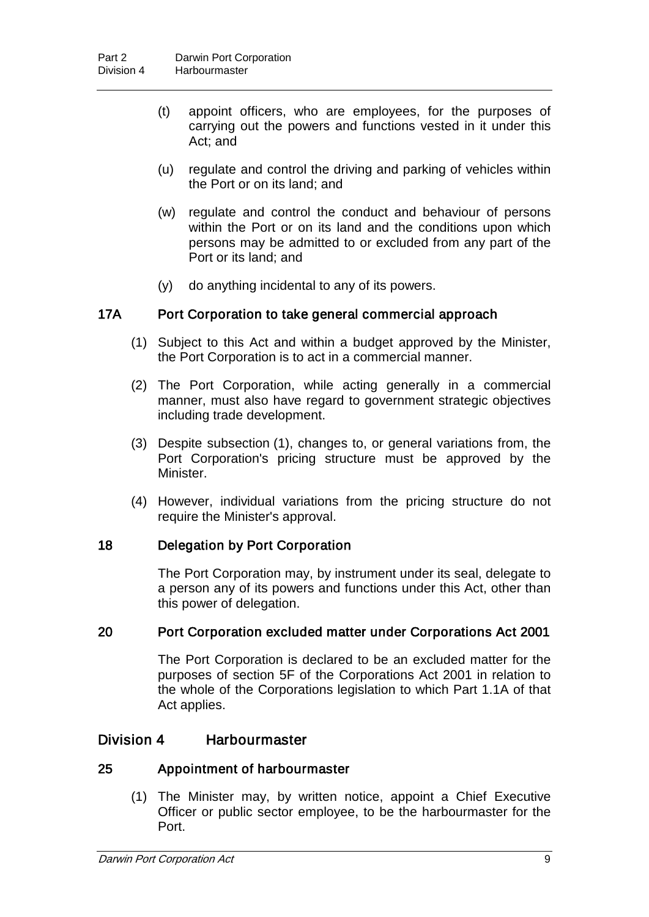- (t) appoint officers, who are employees, for the purposes of carrying out the powers and functions vested in it under this Act; and
- (u) regulate and control the driving and parking of vehicles within the Port or on its land; and
- (w) regulate and control the conduct and behaviour of persons within the Port or on its land and the conditions upon which persons may be admitted to or excluded from any part of the Port or its land; and
- (y) do anything incidental to any of its powers.

#### 17A Port Corporation to take general commercial approach

- (1) Subject to this Act and within a budget approved by the Minister, the Port Corporation is to act in a commercial manner.
- (2) The Port Corporation, while acting generally in a commercial manner, must also have regard to government strategic objectives including trade development.
- (3) Despite subsection (1), changes to, or general variations from, the Port Corporation's pricing structure must be approved by the Minister.
- (4) However, individual variations from the pricing structure do not require the Minister's approval.

#### 18 Delegation by Port Corporation

The Port Corporation may, by instrument under its seal, delegate to a person any of its powers and functions under this Act, other than this power of delegation.

#### 20 Port Corporation excluded matter under Corporations Act 2001

The Port Corporation is declared to be an excluded matter for the purposes of section 5F of the Corporations Act 2001 in relation to the whole of the Corporations legislation to which Part 1.1A of that Act applies.

# Division 4 Harbourmaster

#### 25 Appointment of harbourmaster

(1) The Minister may, by written notice, appoint a Chief Executive Officer or public sector employee, to be the harbourmaster for the Port.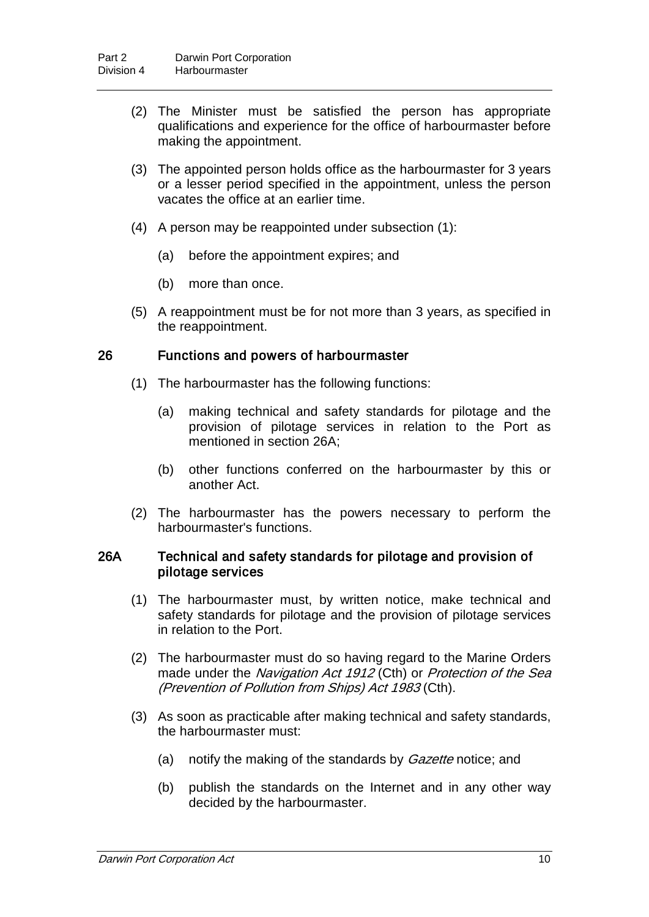- (2) The Minister must be satisfied the person has appropriate qualifications and experience for the office of harbourmaster before making the appointment.
- (3) The appointed person holds office as the harbourmaster for 3 years or a lesser period specified in the appointment, unless the person vacates the office at an earlier time.
- (4) A person may be reappointed under subsection (1):
	- (a) before the appointment expires; and
	- (b) more than once.
- (5) A reappointment must be for not more than 3 years, as specified in the reappointment.

#### 26 Functions and powers of harbourmaster

- (1) The harbourmaster has the following functions:
	- (a) making technical and safety standards for pilotage and the provision of pilotage services in relation to the Port as mentioned in section 26A;
	- (b) other functions conferred on the harbourmaster by this or another Act.
- (2) The harbourmaster has the powers necessary to perform the harbourmaster's functions.

#### 26A Technical and safety standards for pilotage and provision of pilotage services

- (1) The harbourmaster must, by written notice, make technical and safety standards for pilotage and the provision of pilotage services in relation to the Port.
- (2) The harbourmaster must do so having regard to the Marine Orders made under the Navigation Act 1912 (Cth) or Protection of the Sea (Prevention of Pollution from Ships) Act 1983 (Cth).
- (3) As soon as practicable after making technical and safety standards, the harbourmaster must:
	- (a) notify the making of the standards by *Gazette* notice; and
	- (b) publish the standards on the Internet and in any other way decided by the harbourmaster.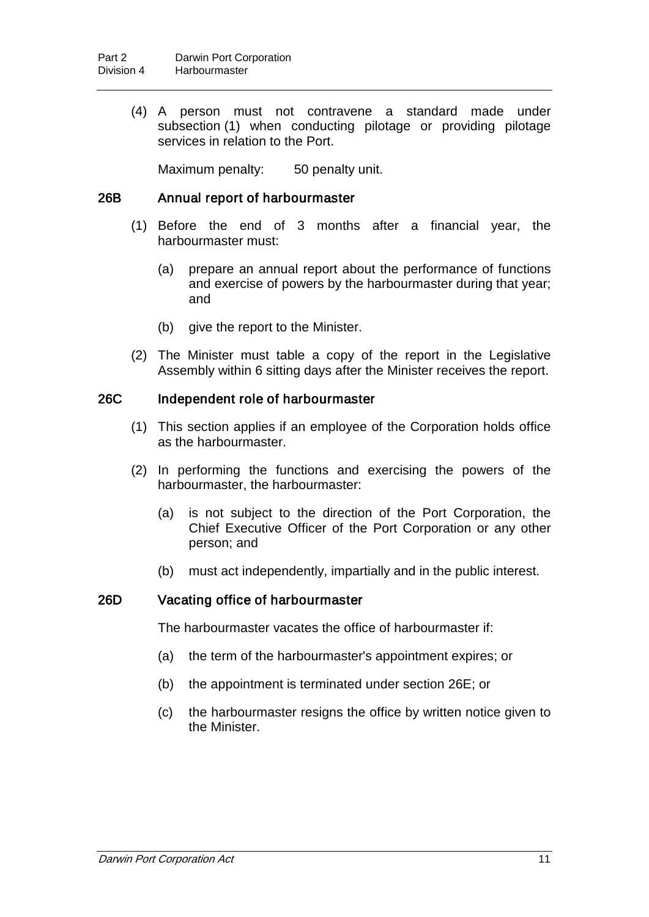(4) A person must not contravene a standard made under subsection (1) when conducting pilotage or providing pilotage services in relation to the Port.

Maximum penalty: 50 penalty unit.

#### 26B Annual report of harbourmaster

- (1) Before the end of 3 months after a financial year, the harbourmaster must:
	- (a) prepare an annual report about the performance of functions and exercise of powers by the harbourmaster during that year; and
	- (b) give the report to the Minister.
- (2) The Minister must table a copy of the report in the Legislative Assembly within 6 sitting days after the Minister receives the report.

#### 26C Independent role of harbourmaster

- (1) This section applies if an employee of the Corporation holds office as the harbourmaster.
- (2) In performing the functions and exercising the powers of the harbourmaster, the harbourmaster:
	- (a) is not subject to the direction of the Port Corporation, the Chief Executive Officer of the Port Corporation or any other person; and
	- (b) must act independently, impartially and in the public interest.

#### 26D Vacating office of harbourmaster

The harbourmaster vacates the office of harbourmaster if:

- (a) the term of the harbourmaster's appointment expires; or
- (b) the appointment is terminated under section 26E; or
- (c) the harbourmaster resigns the office by written notice given to the Minister.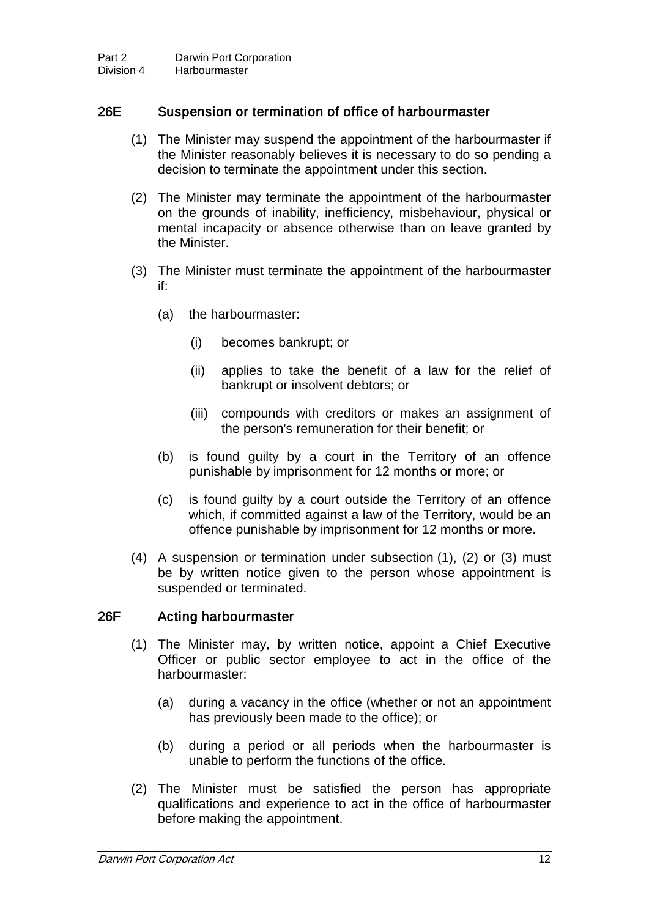### 26E Suspension or termination of office of harbourmaster

- (1) The Minister may suspend the appointment of the harbourmaster if the Minister reasonably believes it is necessary to do so pending a decision to terminate the appointment under this section.
- (2) The Minister may terminate the appointment of the harbourmaster on the grounds of inability, inefficiency, misbehaviour, physical or mental incapacity or absence otherwise than on leave granted by the Minister.
- (3) The Minister must terminate the appointment of the harbourmaster if:
	- (a) the harbourmaster:
		- (i) becomes bankrupt; or
		- (ii) applies to take the benefit of a law for the relief of bankrupt or insolvent debtors; or
		- (iii) compounds with creditors or makes an assignment of the person's remuneration for their benefit; or
	- (b) is found guilty by a court in the Territory of an offence punishable by imprisonment for 12 months or more; or
	- (c) is found guilty by a court outside the Territory of an offence which, if committed against a law of the Territory, would be an offence punishable by imprisonment for 12 months or more.
- (4) A suspension or termination under subsection (1), (2) or (3) must be by written notice given to the person whose appointment is suspended or terminated.

#### 26F Acting harbourmaster

- (1) The Minister may, by written notice, appoint a Chief Executive Officer or public sector employee to act in the office of the harbourmaster:
	- (a) during a vacancy in the office (whether or not an appointment has previously been made to the office); or
	- (b) during a period or all periods when the harbourmaster is unable to perform the functions of the office.
- (2) The Minister must be satisfied the person has appropriate qualifications and experience to act in the office of harbourmaster before making the appointment.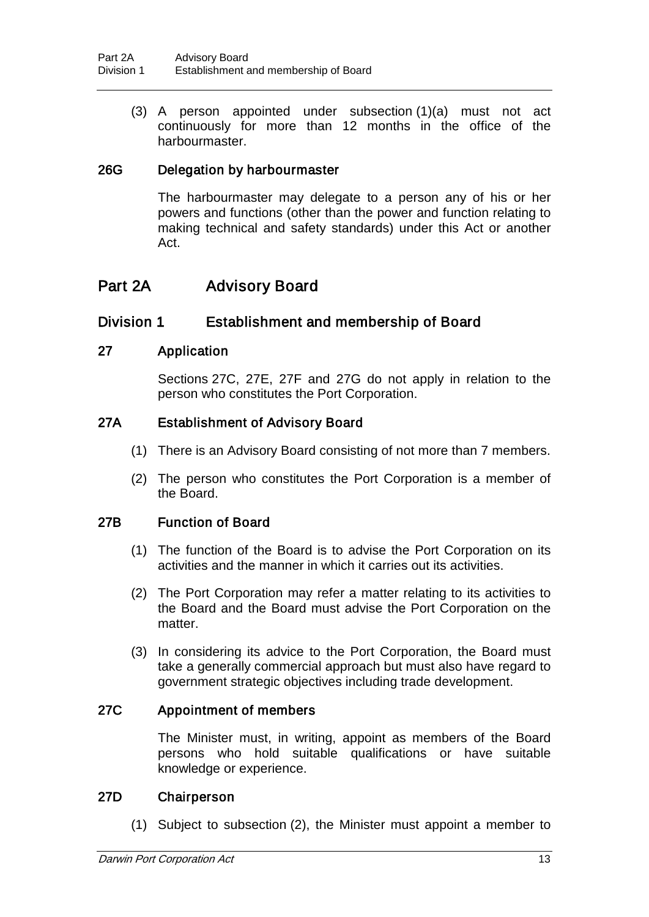(3) A person appointed under subsection (1)(a) must not act continuously for more than 12 months in the office of the harbourmaster.

### 26G Delegation by harbourmaster

The harbourmaster may delegate to a person any of his or her powers and functions (other than the power and function relating to making technical and safety standards) under this Act or another Act.

# Part 2A Advisory Board

# Division 1 Establishment and membership of Board

#### 27 Application

Sections 27C, 27E, 27F and 27G do not apply in relation to the person who constitutes the Port Corporation.

#### 27A Establishment of Advisory Board

- (1) There is an Advisory Board consisting of not more than 7 members.
- (2) The person who constitutes the Port Corporation is a member of the Board.

#### 27B Function of Board

- (1) The function of the Board is to advise the Port Corporation on its activities and the manner in which it carries out its activities.
- (2) The Port Corporation may refer a matter relating to its activities to the Board and the Board must advise the Port Corporation on the matter.
- (3) In considering its advice to the Port Corporation, the Board must take a generally commercial approach but must also have regard to government strategic objectives including trade development.

#### 27C Appointment of members

The Minister must, in writing, appoint as members of the Board persons who hold suitable qualifications or have suitable knowledge or experience.

#### 27D Chairperson

(1) Subject to subsection (2), the Minister must appoint a member to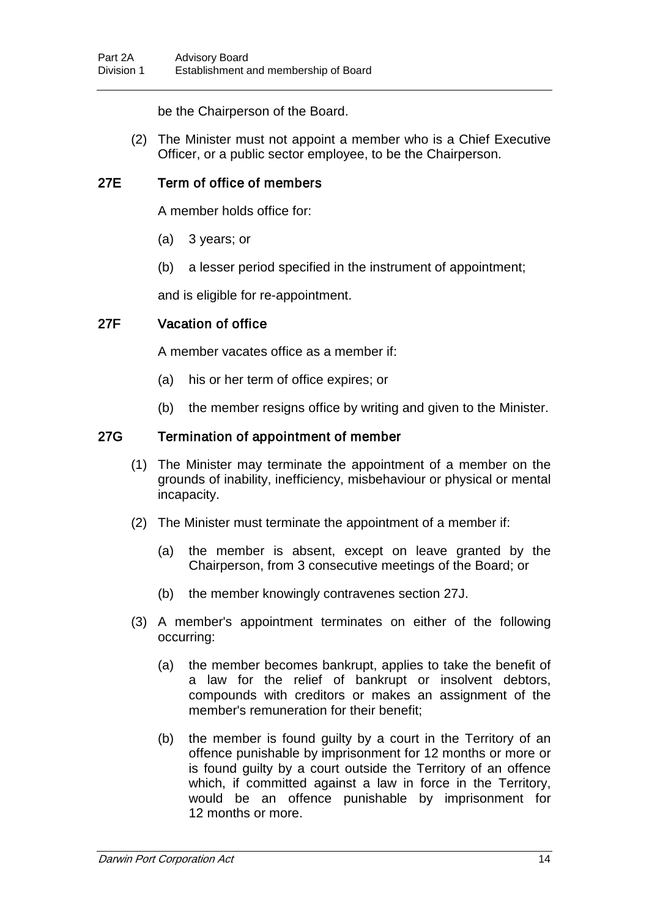be the Chairperson of the Board.

(2) The Minister must not appoint a member who is a Chief Executive Officer, or a public sector employee, to be the Chairperson.

# 27E Term of office of members

A member holds office for:

- (a) 3 years; or
- (b) a lesser period specified in the instrument of appointment;

and is eligible for re-appointment.

# 27F Vacation of office

A member vacates office as a member if:

- (a) his or her term of office expires; or
- (b) the member resigns office by writing and given to the Minister.

### 27G Termination of appointment of member

- (1) The Minister may terminate the appointment of a member on the grounds of inability, inefficiency, misbehaviour or physical or mental incapacity.
- (2) The Minister must terminate the appointment of a member if:
	- (a) the member is absent, except on leave granted by the Chairperson, from 3 consecutive meetings of the Board; or
	- (b) the member knowingly contravenes section 27J.
- (3) A member's appointment terminates on either of the following occurring:
	- (a) the member becomes bankrupt, applies to take the benefit of a law for the relief of bankrupt or insolvent debtors, compounds with creditors or makes an assignment of the member's remuneration for their benefit;
	- (b) the member is found guilty by a court in the Territory of an offence punishable by imprisonment for 12 months or more or is found guilty by a court outside the Territory of an offence which, if committed against a law in force in the Territory, would be an offence punishable by imprisonment for 12 months or more.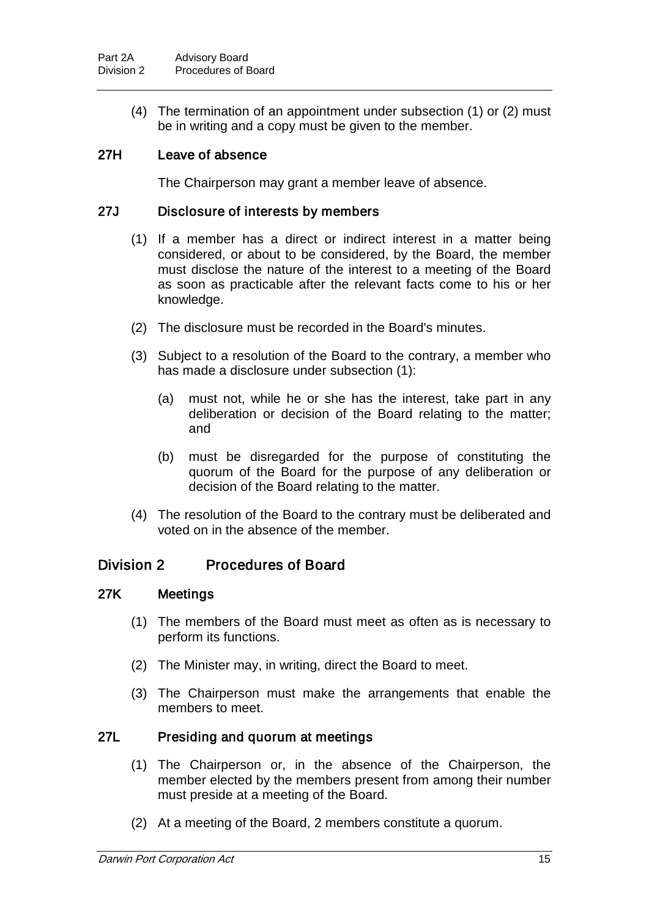(4) The termination of an appointment under subsection (1) or (2) must be in writing and a copy must be given to the member.

### 27H Leave of absence

The Chairperson may grant a member leave of absence.

#### 27J Disclosure of interests by members

- (1) If a member has a direct or indirect interest in a matter being considered, or about to be considered, by the Board, the member must disclose the nature of the interest to a meeting of the Board as soon as practicable after the relevant facts come to his or her knowledge.
- (2) The disclosure must be recorded in the Board's minutes.
- (3) Subject to a resolution of the Board to the contrary, a member who has made a disclosure under subsection (1):
	- (a) must not, while he or she has the interest, take part in any deliberation or decision of the Board relating to the matter; and
	- (b) must be disregarded for the purpose of constituting the quorum of the Board for the purpose of any deliberation or decision of the Board relating to the matter.
- (4) The resolution of the Board to the contrary must be deliberated and voted on in the absence of the member.

### Division 2 Procedures of Board

#### 27K Meetings

- (1) The members of the Board must meet as often as is necessary to perform its functions.
- (2) The Minister may, in writing, direct the Board to meet.
- (3) The Chairperson must make the arrangements that enable the members to meet.

#### 27L Presiding and quorum at meetings

- (1) The Chairperson or, in the absence of the Chairperson, the member elected by the members present from among their number must preside at a meeting of the Board.
- (2) At a meeting of the Board, 2 members constitute a quorum.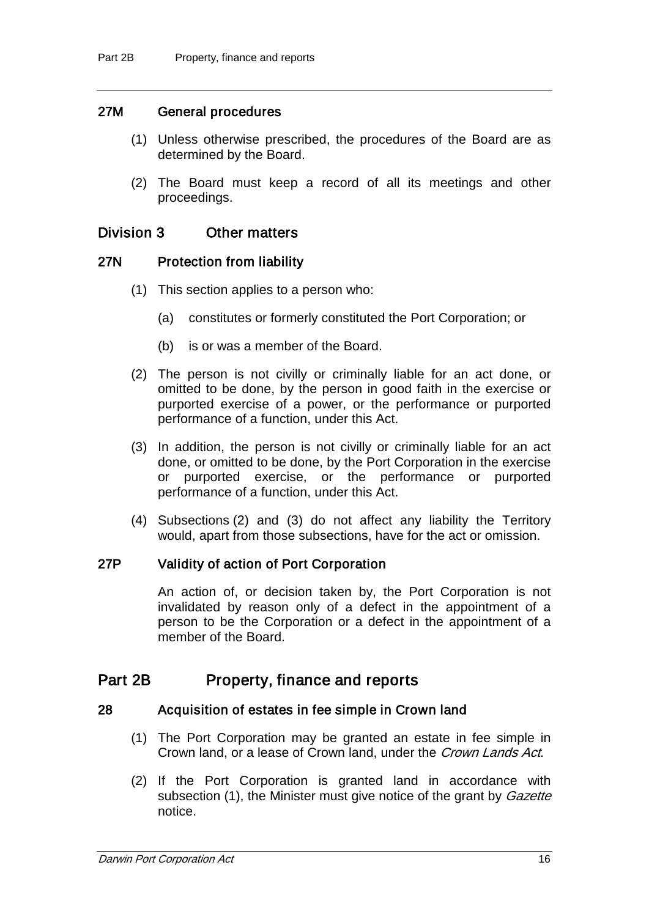#### 27M General procedures

- (1) Unless otherwise prescribed, the procedures of the Board are as determined by the Board.
- (2) The Board must keep a record of all its meetings and other proceedings.

#### Division 3 Other matters

#### 27N Protection from liability

- (1) This section applies to a person who:
	- (a) constitutes or formerly constituted the Port Corporation; or
	- (b) is or was a member of the Board.
- (2) The person is not civilly or criminally liable for an act done, or omitted to be done, by the person in good faith in the exercise or purported exercise of a power, or the performance or purported performance of a function, under this Act.
- (3) In addition, the person is not civilly or criminally liable for an act done, or omitted to be done, by the Port Corporation in the exercise or purported exercise, or the performance or purported performance of a function, under this Act.
- (4) Subsections (2) and (3) do not affect any liability the Territory would, apart from those subsections, have for the act or omission.

#### 27P Validity of action of Port Corporation

An action of, or decision taken by, the Port Corporation is not invalidated by reason only of a defect in the appointment of a person to be the Corporation or a defect in the appointment of a member of the Board.

# Part 2B Property, finance and reports

#### 28 Acquisition of estates in fee simple in Crown land

- (1) The Port Corporation may be granted an estate in fee simple in Crown land, or a lease of Crown land, under the Crown Lands Act.
- (2) If the Port Corporation is granted land in accordance with subsection (1), the Minister must give notice of the grant by *Gazette* notice.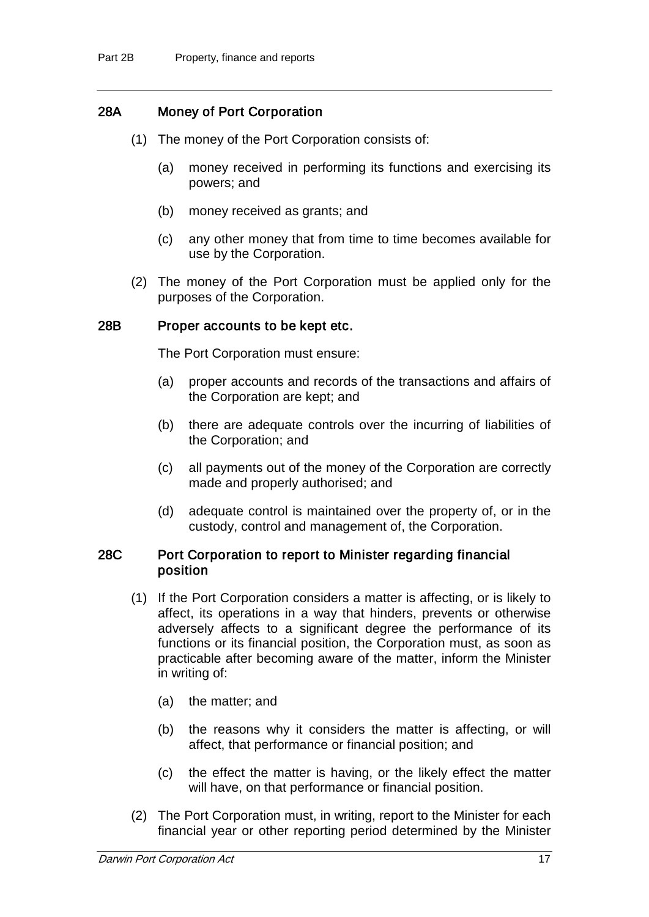### 28A Money of Port Corporation

- (1) The money of the Port Corporation consists of:
	- (a) money received in performing its functions and exercising its powers; and
	- (b) money received as grants; and
	- (c) any other money that from time to time becomes available for use by the Corporation.
- (2) The money of the Port Corporation must be applied only for the purposes of the Corporation.

#### 28B Proper accounts to be kept etc.

The Port Corporation must ensure:

- (a) proper accounts and records of the transactions and affairs of the Corporation are kept; and
- (b) there are adequate controls over the incurring of liabilities of the Corporation; and
- (c) all payments out of the money of the Corporation are correctly made and properly authorised; and
- (d) adequate control is maintained over the property of, or in the custody, control and management of, the Corporation.

#### 28C Port Corporation to report to Minister regarding financial position

- (1) If the Port Corporation considers a matter is affecting, or is likely to affect, its operations in a way that hinders, prevents or otherwise adversely affects to a significant degree the performance of its functions or its financial position, the Corporation must, as soon as practicable after becoming aware of the matter, inform the Minister in writing of:
	- (a) the matter; and
	- (b) the reasons why it considers the matter is affecting, or will affect, that performance or financial position; and
	- (c) the effect the matter is having, or the likely effect the matter will have, on that performance or financial position.
- (2) The Port Corporation must, in writing, report to the Minister for each financial year or other reporting period determined by the Minister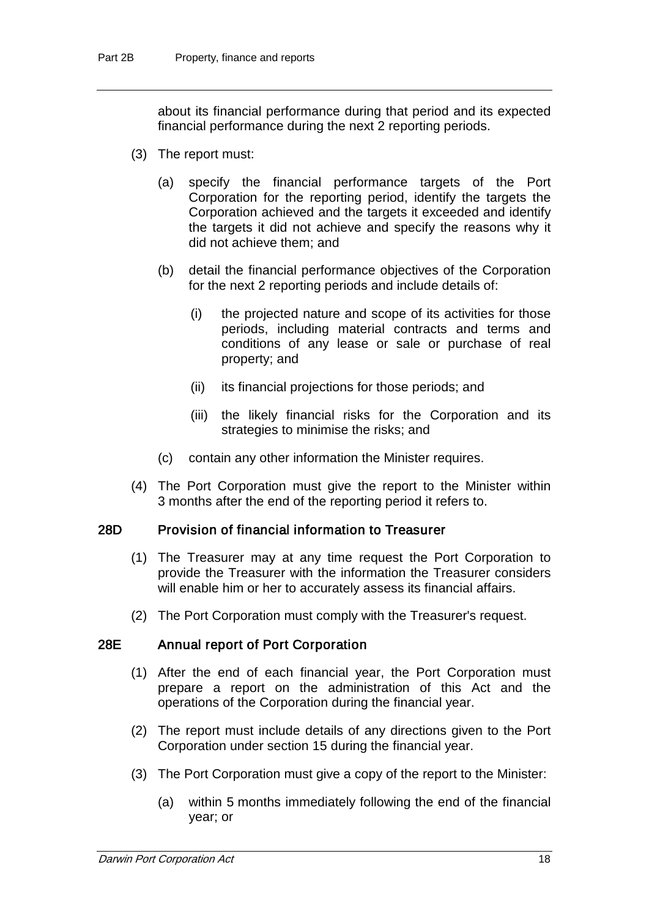about its financial performance during that period and its expected financial performance during the next 2 reporting periods.

- (3) The report must:
	- (a) specify the financial performance targets of the Port Corporation for the reporting period, identify the targets the Corporation achieved and the targets it exceeded and identify the targets it did not achieve and specify the reasons why it did not achieve them; and
	- (b) detail the financial performance objectives of the Corporation for the next 2 reporting periods and include details of:
		- (i) the projected nature and scope of its activities for those periods, including material contracts and terms and conditions of any lease or sale or purchase of real property; and
		- (ii) its financial projections for those periods; and
		- (iii) the likely financial risks for the Corporation and its strategies to minimise the risks; and
	- (c) contain any other information the Minister requires.
- (4) The Port Corporation must give the report to the Minister within 3 months after the end of the reporting period it refers to.

#### 28D Provision of financial information to Treasurer

- (1) The Treasurer may at any time request the Port Corporation to provide the Treasurer with the information the Treasurer considers will enable him or her to accurately assess its financial affairs.
- (2) The Port Corporation must comply with the Treasurer's request.

#### 28E Annual report of Port Corporation

- (1) After the end of each financial year, the Port Corporation must prepare a report on the administration of this Act and the operations of the Corporation during the financial year.
- (2) The report must include details of any directions given to the Port Corporation under section 15 during the financial year.
- (3) The Port Corporation must give a copy of the report to the Minister:
	- (a) within 5 months immediately following the end of the financial year; or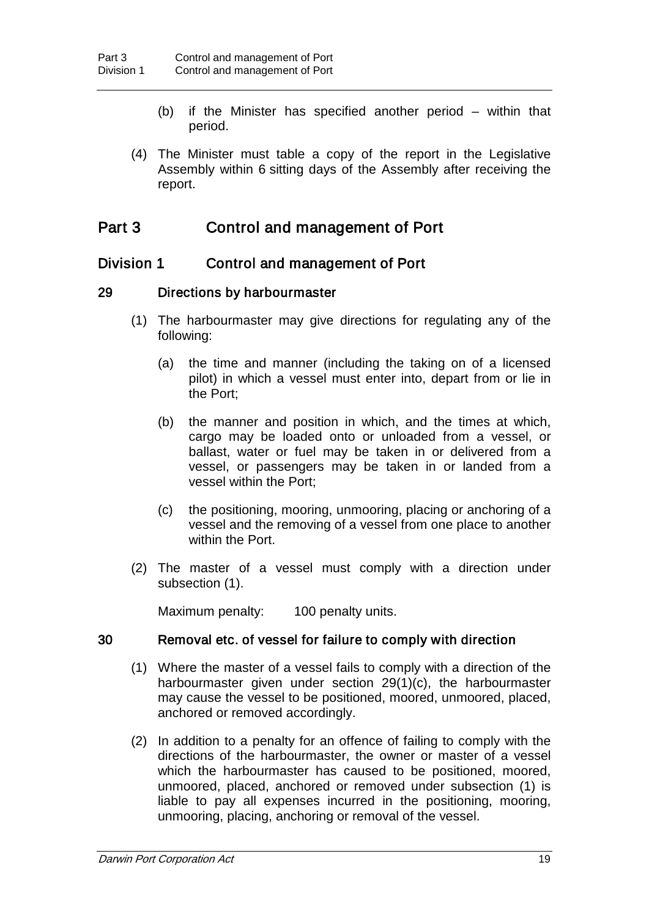- (b) if the Minister has specified another period within that period.
- (4) The Minister must table a copy of the report in the Legislative Assembly within 6 sitting days of the Assembly after receiving the report.

# Part 3 Control and management of Port

# Division 1 Control and management of Port

#### 29 Directions by harbourmaster

- (1) The harbourmaster may give directions for regulating any of the following:
	- (a) the time and manner (including the taking on of a licensed pilot) in which a vessel must enter into, depart from or lie in the Port;
	- (b) the manner and position in which, and the times at which, cargo may be loaded onto or unloaded from a vessel, or ballast, water or fuel may be taken in or delivered from a vessel, or passengers may be taken in or landed from a vessel within the Port;
	- (c) the positioning, mooring, unmooring, placing or anchoring of a vessel and the removing of a vessel from one place to another within the Port.
- (2) The master of a vessel must comply with a direction under subsection (1).

Maximum penalty: 100 penalty units.

#### 30 Removal etc. of vessel for failure to comply with direction

- (1) Where the master of a vessel fails to comply with a direction of the harbourmaster given under section 29(1)(c), the harbourmaster may cause the vessel to be positioned, moored, unmoored, placed, anchored or removed accordingly.
- (2) In addition to a penalty for an offence of failing to comply with the directions of the harbourmaster, the owner or master of a vessel which the harbourmaster has caused to be positioned, moored, unmoored, placed, anchored or removed under subsection (1) is liable to pay all expenses incurred in the positioning, mooring, unmooring, placing, anchoring or removal of the vessel.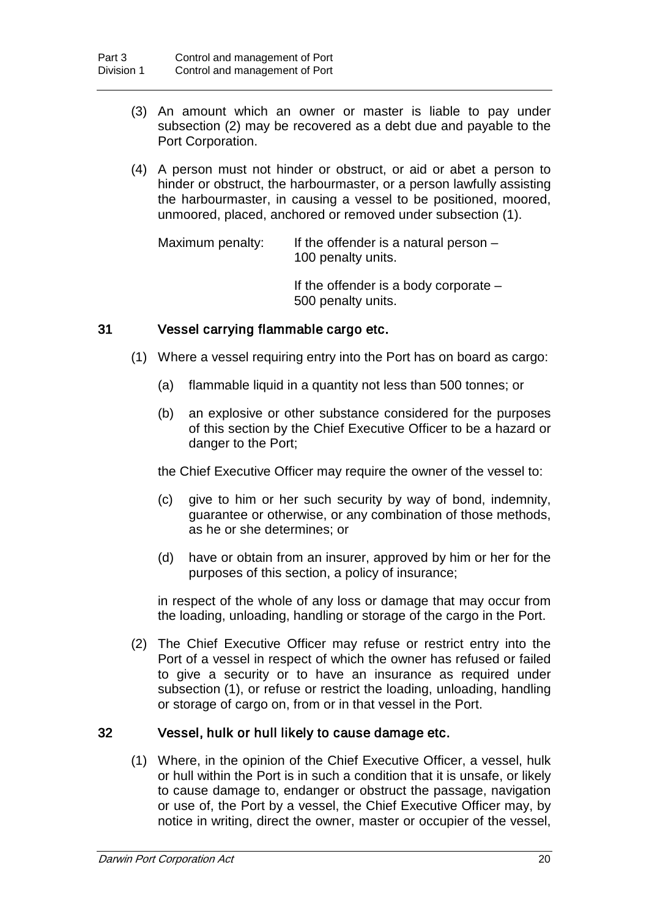- (3) An amount which an owner or master is liable to pay under subsection (2) may be recovered as a debt due and payable to the Port Corporation.
- (4) A person must not hinder or obstruct, or aid or abet a person to hinder or obstruct, the harbourmaster, or a person lawfully assisting the harbourmaster, in causing a vessel to be positioned, moored, unmoored, placed, anchored or removed under subsection (1).

Maximum penalty: If the offender is a natural person  $-$ 100 penalty units.

> If the offender is a body corporate – 500 penalty units.

### 31 Vessel carrying flammable cargo etc.

- (1) Where a vessel requiring entry into the Port has on board as cargo:
	- (a) flammable liquid in a quantity not less than 500 tonnes; or
	- (b) an explosive or other substance considered for the purposes of this section by the Chief Executive Officer to be a hazard or danger to the Port;

the Chief Executive Officer may require the owner of the vessel to:

- (c) give to him or her such security by way of bond, indemnity, guarantee or otherwise, or any combination of those methods, as he or she determines; or
- (d) have or obtain from an insurer, approved by him or her for the purposes of this section, a policy of insurance;

in respect of the whole of any loss or damage that may occur from the loading, unloading, handling or storage of the cargo in the Port.

(2) The Chief Executive Officer may refuse or restrict entry into the Port of a vessel in respect of which the owner has refused or failed to give a security or to have an insurance as required under subsection (1), or refuse or restrict the loading, unloading, handling or storage of cargo on, from or in that vessel in the Port.

#### 32 Vessel, hulk or hull likely to cause damage etc.

(1) Where, in the opinion of the Chief Executive Officer, a vessel, hulk or hull within the Port is in such a condition that it is unsafe, or likely to cause damage to, endanger or obstruct the passage, navigation or use of, the Port by a vessel, the Chief Executive Officer may, by notice in writing, direct the owner, master or occupier of the vessel,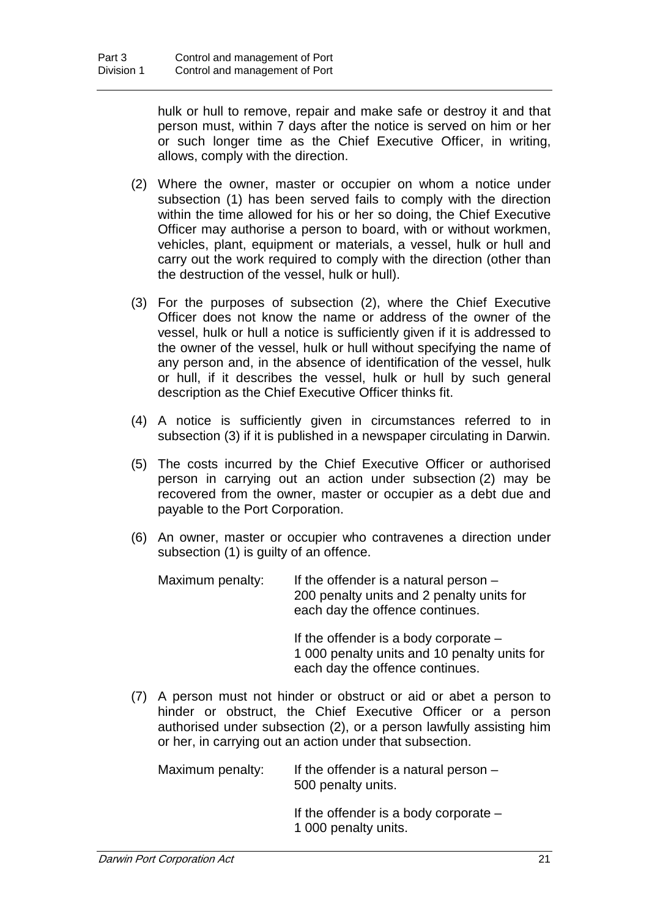hulk or hull to remove, repair and make safe or destroy it and that person must, within 7 days after the notice is served on him or her or such longer time as the Chief Executive Officer, in writing, allows, comply with the direction.

- (2) Where the owner, master or occupier on whom a notice under subsection (1) has been served fails to comply with the direction within the time allowed for his or her so doing, the Chief Executive Officer may authorise a person to board, with or without workmen, vehicles, plant, equipment or materials, a vessel, hulk or hull and carry out the work required to comply with the direction (other than the destruction of the vessel, hulk or hull).
- (3) For the purposes of subsection (2), where the Chief Executive Officer does not know the name or address of the owner of the vessel, hulk or hull a notice is sufficiently given if it is addressed to the owner of the vessel, hulk or hull without specifying the name of any person and, in the absence of identification of the vessel, hulk or hull, if it describes the vessel, hulk or hull by such general description as the Chief Executive Officer thinks fit.
- (4) A notice is sufficiently given in circumstances referred to in subsection (3) if it is published in a newspaper circulating in Darwin.
- (5) The costs incurred by the Chief Executive Officer or authorised person in carrying out an action under subsection (2) may be recovered from the owner, master or occupier as a debt due and payable to the Port Corporation.
- (6) An owner, master or occupier who contravenes a direction under subsection (1) is guilty of an offence.

| Maximum penalty: | If the offender is a natural person $-$                                      |
|------------------|------------------------------------------------------------------------------|
|                  | 200 penalty units and 2 penalty units for<br>each day the offence continues. |
|                  |                                                                              |

If the offender is a body corporate – 1 000 penalty units and 10 penalty units for each day the offence continues.

(7) A person must not hinder or obstruct or aid or abet a person to hinder or obstruct, the Chief Executive Officer or a person authorised under subsection (2), or a person lawfully assisting him or her, in carrying out an action under that subsection.

Maximum penalty: If the offender is a natural person  $-$ 500 penalty units.

> If the offender is a body corporate – 1 000 penalty units.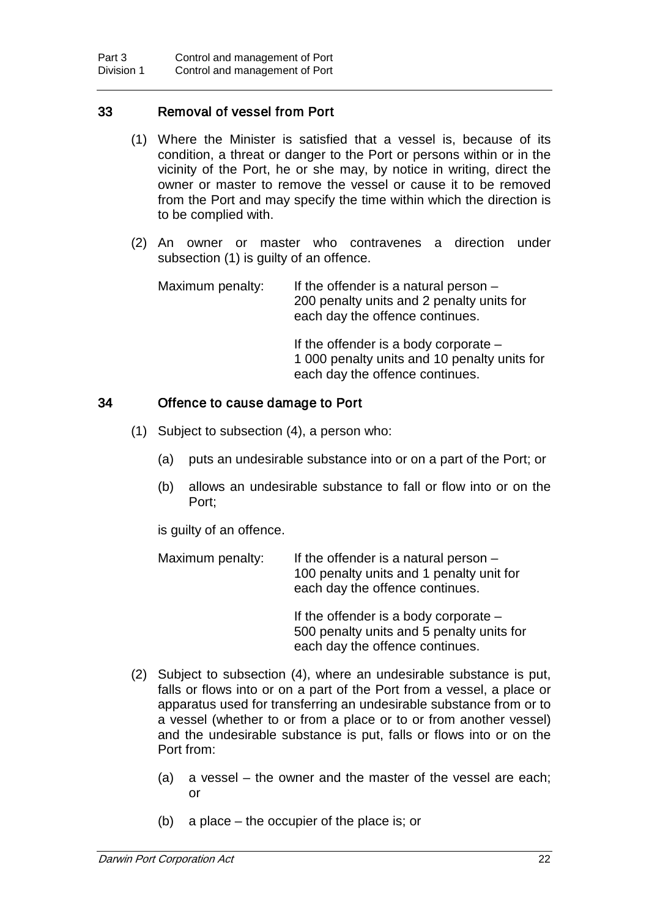#### 33 Removal of vessel from Port

- (1) Where the Minister is satisfied that a vessel is, because of its condition, a threat or danger to the Port or persons within or in the vicinity of the Port, he or she may, by notice in writing, direct the owner or master to remove the vessel or cause it to be removed from the Port and may specify the time within which the direction is to be complied with.
- (2) An owner or master who contravenes a direction under subsection (1) is guilty of an offence.

Maximum penalty: If the offender is a natural person  $-$ 200 penalty units and 2 penalty units for each day the offence continues.

> If the offender is a body corporate – 1 000 penalty units and 10 penalty units for each day the offence continues.

#### 34 Offence to cause damage to Port

- (1) Subject to subsection (4), a person who:
	- (a) puts an undesirable substance into or on a part of the Port; or
	- (b) allows an undesirable substance to fall or flow into or on the Port;

is guilty of an offence.

| Maximum penalty: | If the offender is a natural person $-$<br>100 penalty units and 1 penalty unit for<br>each day the offence continues. |
|------------------|------------------------------------------------------------------------------------------------------------------------|
|                  | If the offender is a body corporate $-$                                                                                |

If offender is a body corporate 500 penalty units and 5 penalty units for each day the offence continues.

- (2) Subject to subsection (4), where an undesirable substance is put, falls or flows into or on a part of the Port from a vessel, a place or apparatus used for transferring an undesirable substance from or to a vessel (whether to or from a place or to or from another vessel) and the undesirable substance is put, falls or flows into or on the Port from:
	- (a) a vessel the owner and the master of the vessel are each; or
	- (b) a place the occupier of the place is; or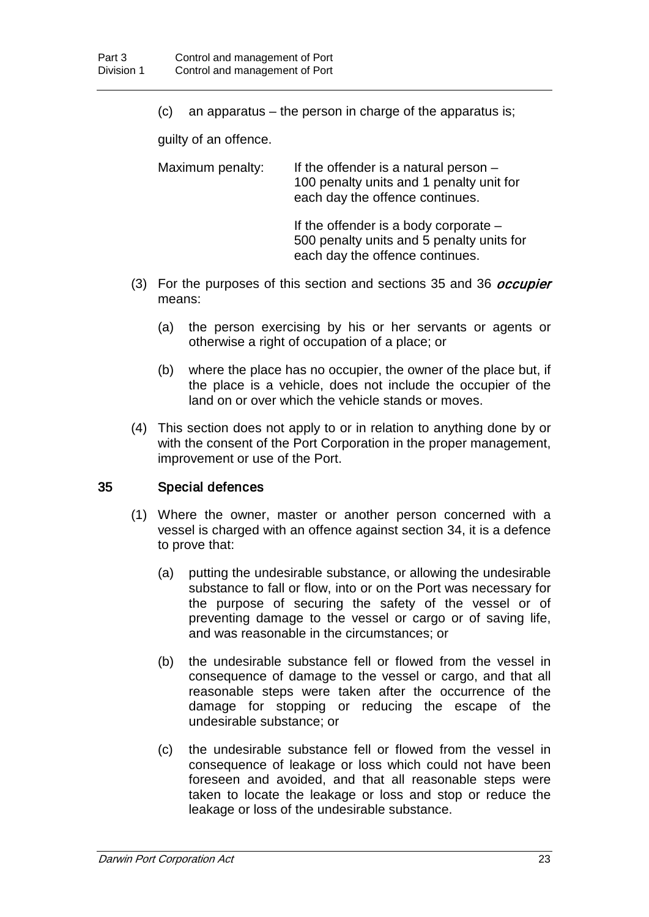(c) an apparatus – the person in charge of the apparatus is;

guilty of an offence.

Maximum penalty: If the offender is a natural person  $-$ 100 penalty units and 1 penalty unit for each day the offence continues.

> If the offender is a body corporate – 500 penalty units and 5 penalty units for each day the offence continues.

- (3) For the purposes of this section and sections 35 and 36 *occupier* means:
	- (a) the person exercising by his or her servants or agents or otherwise a right of occupation of a place; or
	- (b) where the place has no occupier, the owner of the place but, if the place is a vehicle, does not include the occupier of the land on or over which the vehicle stands or moves.
- (4) This section does not apply to or in relation to anything done by or with the consent of the Port Corporation in the proper management, improvement or use of the Port.

### 35 Special defences

- (1) Where the owner, master or another person concerned with a vessel is charged with an offence against section 34, it is a defence to prove that:
	- (a) putting the undesirable substance, or allowing the undesirable substance to fall or flow, into or on the Port was necessary for the purpose of securing the safety of the vessel or of preventing damage to the vessel or cargo or of saving life, and was reasonable in the circumstances; or
	- (b) the undesirable substance fell or flowed from the vessel in consequence of damage to the vessel or cargo, and that all reasonable steps were taken after the occurrence of the damage for stopping or reducing the escape of the undesirable substance; or
	- (c) the undesirable substance fell or flowed from the vessel in consequence of leakage or loss which could not have been foreseen and avoided, and that all reasonable steps were taken to locate the leakage or loss and stop or reduce the leakage or loss of the undesirable substance.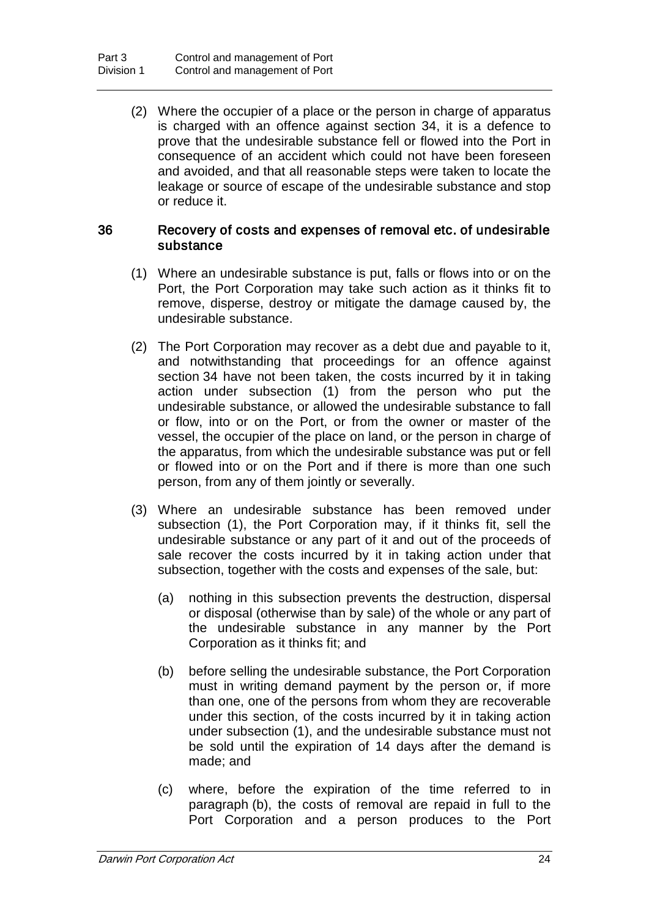(2) Where the occupier of a place or the person in charge of apparatus is charged with an offence against section 34, it is a defence to prove that the undesirable substance fell or flowed into the Port in consequence of an accident which could not have been foreseen and avoided, and that all reasonable steps were taken to locate the leakage or source of escape of the undesirable substance and stop or reduce it.

#### 36 Recovery of costs and expenses of removal etc. of undesirable substance

- (1) Where an undesirable substance is put, falls or flows into or on the Port, the Port Corporation may take such action as it thinks fit to remove, disperse, destroy or mitigate the damage caused by, the undesirable substance.
- (2) The Port Corporation may recover as a debt due and payable to it, and notwithstanding that proceedings for an offence against section 34 have not been taken, the costs incurred by it in taking action under subsection (1) from the person who put the undesirable substance, or allowed the undesirable substance to fall or flow, into or on the Port, or from the owner or master of the vessel, the occupier of the place on land, or the person in charge of the apparatus, from which the undesirable substance was put or fell or flowed into or on the Port and if there is more than one such person, from any of them jointly or severally.
- (3) Where an undesirable substance has been removed under subsection (1), the Port Corporation may, if it thinks fit, sell the undesirable substance or any part of it and out of the proceeds of sale recover the costs incurred by it in taking action under that subsection, together with the costs and expenses of the sale, but:
	- (a) nothing in this subsection prevents the destruction, dispersal or disposal (otherwise than by sale) of the whole or any part of the undesirable substance in any manner by the Port Corporation as it thinks fit; and
	- (b) before selling the undesirable substance, the Port Corporation must in writing demand payment by the person or, if more than one, one of the persons from whom they are recoverable under this section, of the costs incurred by it in taking action under subsection (1), and the undesirable substance must not be sold until the expiration of 14 days after the demand is made; and
	- (c) where, before the expiration of the time referred to in paragraph (b), the costs of removal are repaid in full to the Port Corporation and a person produces to the Port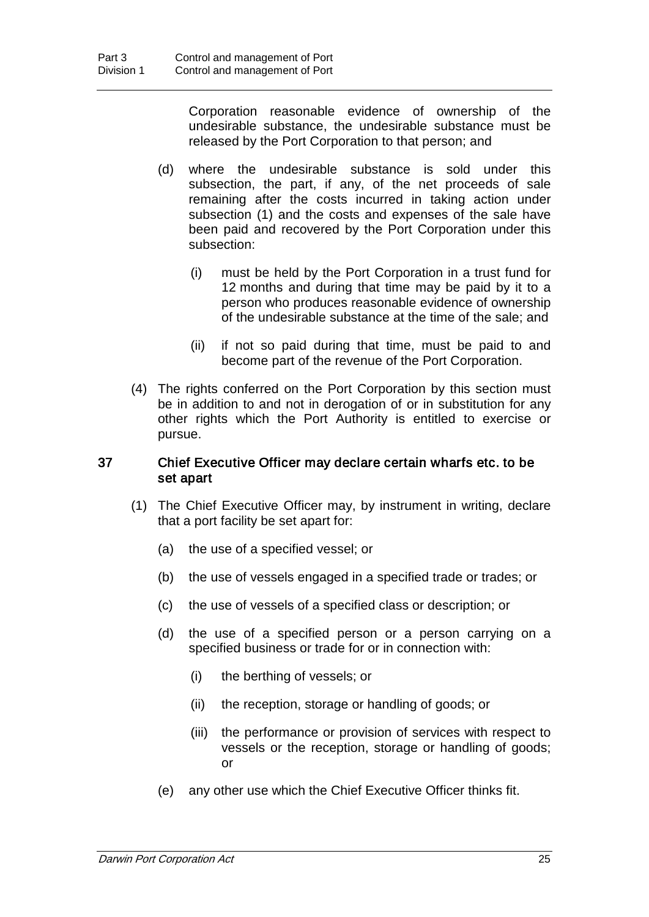Corporation reasonable evidence of ownership of the undesirable substance, the undesirable substance must be released by the Port Corporation to that person; and

- (d) where the undesirable substance is sold under this subsection, the part, if any, of the net proceeds of sale remaining after the costs incurred in taking action under subsection (1) and the costs and expenses of the sale have been paid and recovered by the Port Corporation under this subsection:
	- (i) must be held by the Port Corporation in a trust fund for 12 months and during that time may be paid by it to a person who produces reasonable evidence of ownership of the undesirable substance at the time of the sale; and
	- (ii) if not so paid during that time, must be paid to and become part of the revenue of the Port Corporation.
- (4) The rights conferred on the Port Corporation by this section must be in addition to and not in derogation of or in substitution for any other rights which the Port Authority is entitled to exercise or pursue.

#### 37 Chief Executive Officer may declare certain wharfs etc. to be set apart

- (1) The Chief Executive Officer may, by instrument in writing, declare that a port facility be set apart for:
	- (a) the use of a specified vessel; or
	- (b) the use of vessels engaged in a specified trade or trades; or
	- (c) the use of vessels of a specified class or description; or
	- (d) the use of a specified person or a person carrying on a specified business or trade for or in connection with:
		- (i) the berthing of vessels; or
		- (ii) the reception, storage or handling of goods; or
		- (iii) the performance or provision of services with respect to vessels or the reception, storage or handling of goods; or
	- (e) any other use which the Chief Executive Officer thinks fit.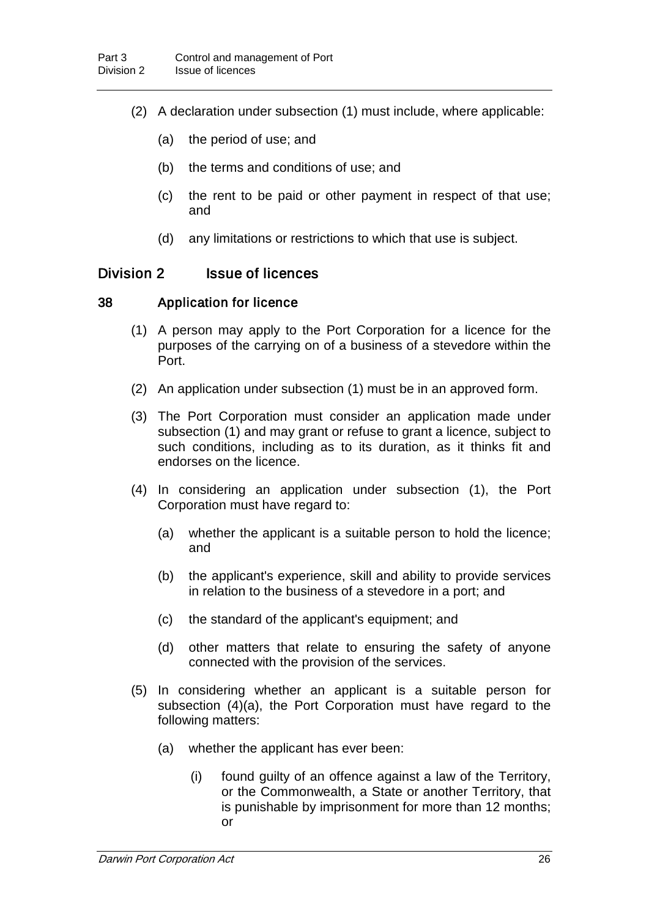- (2) A declaration under subsection (1) must include, where applicable:
	- (a) the period of use; and
	- (b) the terms and conditions of use; and
	- (c) the rent to be paid or other payment in respect of that use; and
	- (d) any limitations or restrictions to which that use is subject.

# Division 2 **Issue of licences**

#### 38 Application for licence

- (1) A person may apply to the Port Corporation for a licence for the purposes of the carrying on of a business of a stevedore within the Port.
- (2) An application under subsection (1) must be in an approved form.
- (3) The Port Corporation must consider an application made under subsection (1) and may grant or refuse to grant a licence, subject to such conditions, including as to its duration, as it thinks fit and endorses on the licence.
- (4) In considering an application under subsection (1), the Port Corporation must have regard to:
	- (a) whether the applicant is a suitable person to hold the licence; and
	- (b) the applicant's experience, skill and ability to provide services in relation to the business of a stevedore in a port; and
	- (c) the standard of the applicant's equipment; and
	- (d) other matters that relate to ensuring the safety of anyone connected with the provision of the services.
- (5) In considering whether an applicant is a suitable person for subsection (4)(a), the Port Corporation must have regard to the following matters:
	- (a) whether the applicant has ever been:
		- (i) found guilty of an offence against a law of the Territory, or the Commonwealth, a State or another Territory, that is punishable by imprisonment for more than 12 months; or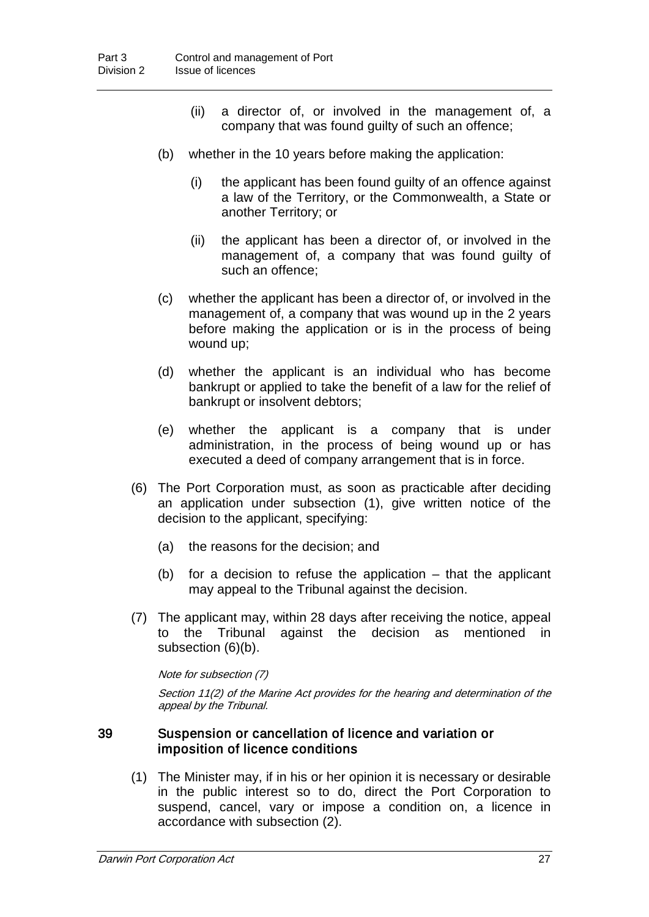- (ii) a director of, or involved in the management of, a company that was found guilty of such an offence;
- (b) whether in the 10 years before making the application:
	- (i) the applicant has been found guilty of an offence against a law of the Territory, or the Commonwealth, a State or another Territory; or
	- (ii) the applicant has been a director of, or involved in the management of, a company that was found guilty of such an offence;
- (c) whether the applicant has been a director of, or involved in the management of, a company that was wound up in the 2 years before making the application or is in the process of being wound up;
- (d) whether the applicant is an individual who has become bankrupt or applied to take the benefit of a law for the relief of bankrupt or insolvent debtors;
- (e) whether the applicant is a company that is under administration, in the process of being wound up or has executed a deed of company arrangement that is in force.
- (6) The Port Corporation must, as soon as practicable after deciding an application under subsection (1), give written notice of the decision to the applicant, specifying:
	- (a) the reasons for the decision; and
	- (b) for a decision to refuse the application that the applicant may appeal to the Tribunal against the decision.
- (7) The applicant may, within 28 days after receiving the notice, appeal to the Tribunal against the decision as mentioned in subsection (6)(b).

Note for subsection (7)

Section 11(2) of the Marine Act provides for the hearing and determination of the appeal by the Tribunal.

#### 39 Suspension or cancellation of licence and variation or imposition of licence conditions

(1) The Minister may, if in his or her opinion it is necessary or desirable in the public interest so to do, direct the Port Corporation to suspend, cancel, vary or impose a condition on, a licence in accordance with subsection (2).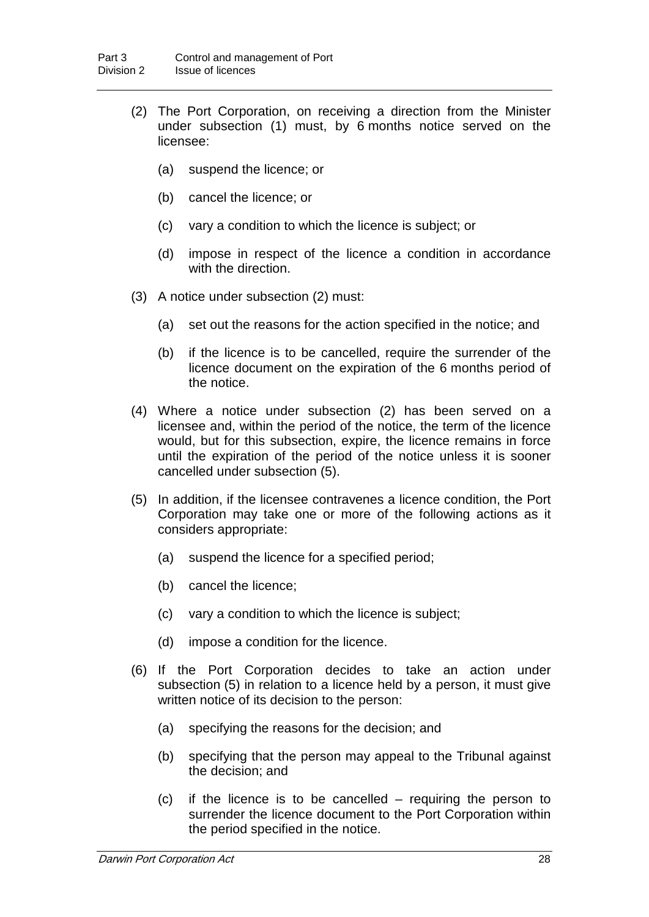- (2) The Port Corporation, on receiving a direction from the Minister under subsection (1) must, by 6 months notice served on the licensee:
	- (a) suspend the licence; or
	- (b) cancel the licence; or
	- (c) vary a condition to which the licence is subject; or
	- (d) impose in respect of the licence a condition in accordance with the direction.
- (3) A notice under subsection (2) must:
	- (a) set out the reasons for the action specified in the notice; and
	- (b) if the licence is to be cancelled, require the surrender of the licence document on the expiration of the 6 months period of the notice.
- (4) Where a notice under subsection (2) has been served on a licensee and, within the period of the notice, the term of the licence would, but for this subsection, expire, the licence remains in force until the expiration of the period of the notice unless it is sooner cancelled under subsection (5).
- (5) In addition, if the licensee contravenes a licence condition, the Port Corporation may take one or more of the following actions as it considers appropriate:
	- (a) suspend the licence for a specified period;
	- (b) cancel the licence;
	- (c) vary a condition to which the licence is subject;
	- (d) impose a condition for the licence.
- (6) If the Port Corporation decides to take an action under subsection (5) in relation to a licence held by a person, it must give written notice of its decision to the person:
	- (a) specifying the reasons for the decision; and
	- (b) specifying that the person may appeal to the Tribunal against the decision; and
	- (c) if the licence is to be cancelled requiring the person to surrender the licence document to the Port Corporation within the period specified in the notice.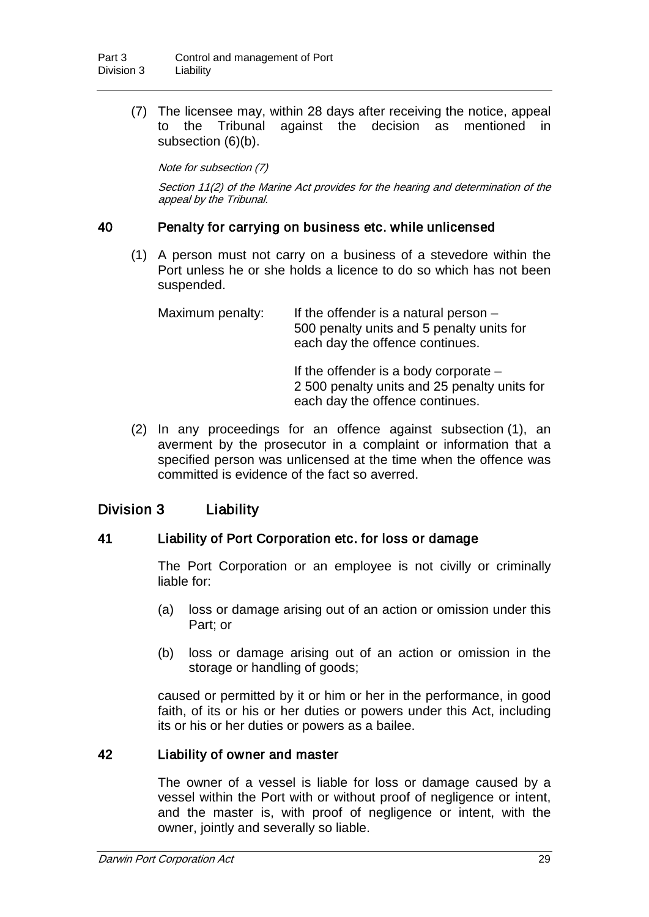(7) The licensee may, within 28 days after receiving the notice, appeal to the Tribunal against the decision as mentioned in subsection (6)(b).

Note for subsection (7)

Section 11(2) of the Marine Act provides for the hearing and determination of the appeal by the Tribunal.

#### 40 Penalty for carrying on business etc. while unlicensed

(1) A person must not carry on a business of a stevedore within the Port unless he or she holds a licence to do so which has not been suspended.

Maximum penalty: If the offender is a natural person  $-$ 500 penalty units and 5 penalty units for each day the offence continues.

> If the offender is a body corporate – 2 500 penalty units and 25 penalty units for each day the offence continues.

(2) In any proceedings for an offence against subsection (1), an averment by the prosecutor in a complaint or information that a specified person was unlicensed at the time when the offence was committed is evidence of the fact so averred.

### Division 3 Liability

#### 41 Liability of Port Corporation etc. for loss or damage

The Port Corporation or an employee is not civilly or criminally liable for:

- (a) loss or damage arising out of an action or omission under this Part; or
- (b) loss or damage arising out of an action or omission in the storage or handling of goods;

caused or permitted by it or him or her in the performance, in good faith, of its or his or her duties or powers under this Act, including its or his or her duties or powers as a bailee.

#### 42 Liability of owner and master

The owner of a vessel is liable for loss or damage caused by a vessel within the Port with or without proof of negligence or intent, and the master is, with proof of negligence or intent, with the owner, jointly and severally so liable.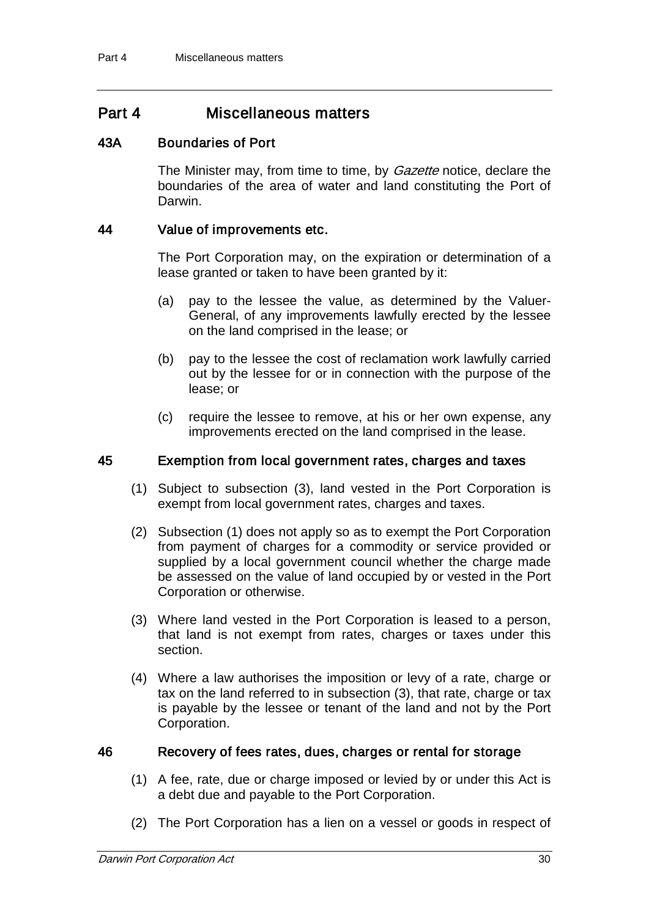# Part 4 Miscellaneous matters

### 43A Boundaries of Port

The Minister may, from time to time, by *Gazette* notice, declare the boundaries of the area of water and land constituting the Port of Darwin.

#### 44 Value of improvements etc.

The Port Corporation may, on the expiration or determination of a lease granted or taken to have been granted by it:

- (a) pay to the lessee the value, as determined by the Valuer-General, of any improvements lawfully erected by the lessee on the land comprised in the lease; or
- (b) pay to the lessee the cost of reclamation work lawfully carried out by the lessee for or in connection with the purpose of the lease; or
- (c) require the lessee to remove, at his or her own expense, any improvements erected on the land comprised in the lease.

#### 45 Exemption from local government rates, charges and taxes

- (1) Subject to subsection (3), land vested in the Port Corporation is exempt from local government rates, charges and taxes.
- (2) Subsection (1) does not apply so as to exempt the Port Corporation from payment of charges for a commodity or service provided or supplied by a local government council whether the charge made be assessed on the value of land occupied by or vested in the Port Corporation or otherwise.
- (3) Where land vested in the Port Corporation is leased to a person, that land is not exempt from rates, charges or taxes under this section.
- (4) Where a law authorises the imposition or levy of a rate, charge or tax on the land referred to in subsection (3), that rate, charge or tax is payable by the lessee or tenant of the land and not by the Port Corporation.

#### 46 Recovery of fees rates, dues, charges or rental for storage

- (1) A fee, rate, due or charge imposed or levied by or under this Act is a debt due and payable to the Port Corporation.
- (2) The Port Corporation has a lien on a vessel or goods in respect of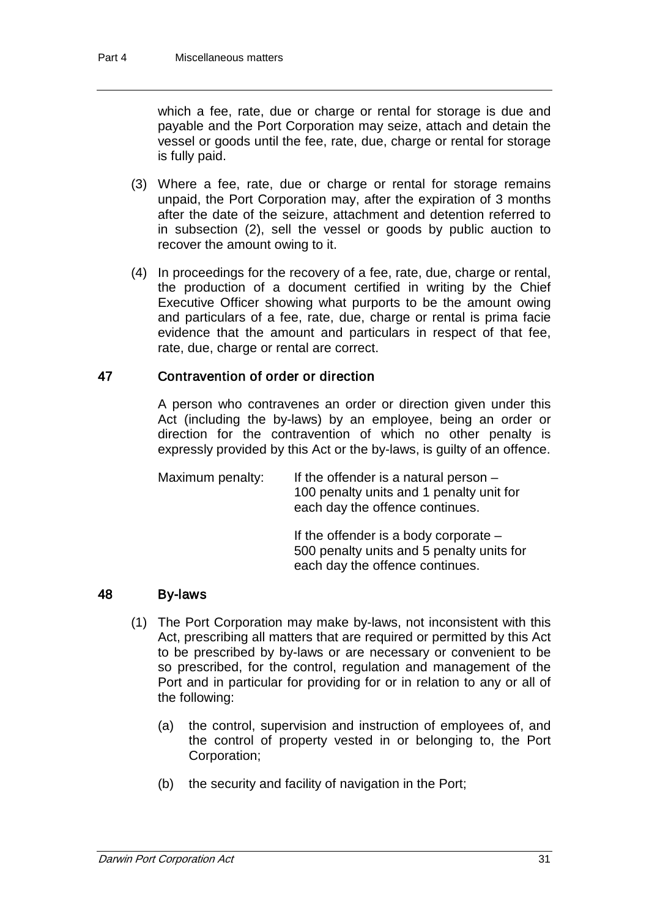which a fee, rate, due or charge or rental for storage is due and payable and the Port Corporation may seize, attach and detain the vessel or goods until the fee, rate, due, charge or rental for storage is fully paid.

- (3) Where a fee, rate, due or charge or rental for storage remains unpaid, the Port Corporation may, after the expiration of 3 months after the date of the seizure, attachment and detention referred to in subsection (2), sell the vessel or goods by public auction to recover the amount owing to it.
- (4) In proceedings for the recovery of a fee, rate, due, charge or rental, the production of a document certified in writing by the Chief Executive Officer showing what purports to be the amount owing and particulars of a fee, rate, due, charge or rental is prima facie evidence that the amount and particulars in respect of that fee, rate, due, charge or rental are correct.

### 47 Contravention of order or direction

A person who contravenes an order or direction given under this Act (including the by-laws) by an employee, being an order or direction for the contravention of which no other penalty is expressly provided by this Act or the by-laws, is guilty of an offence.

Maximum penalty: If the offender is a natural person  $-$ 100 penalty units and 1 penalty unit for each day the offence continues.

> If the offender is a body corporate – 500 penalty units and 5 penalty units for each day the offence continues.

#### 48 By-laws

- (1) The Port Corporation may make by-laws, not inconsistent with this Act, prescribing all matters that are required or permitted by this Act to be prescribed by by-laws or are necessary or convenient to be so prescribed, for the control, regulation and management of the Port and in particular for providing for or in relation to any or all of the following:
	- (a) the control, supervision and instruction of employees of, and the control of property vested in or belonging to, the Port Corporation;
	- (b) the security and facility of navigation in the Port;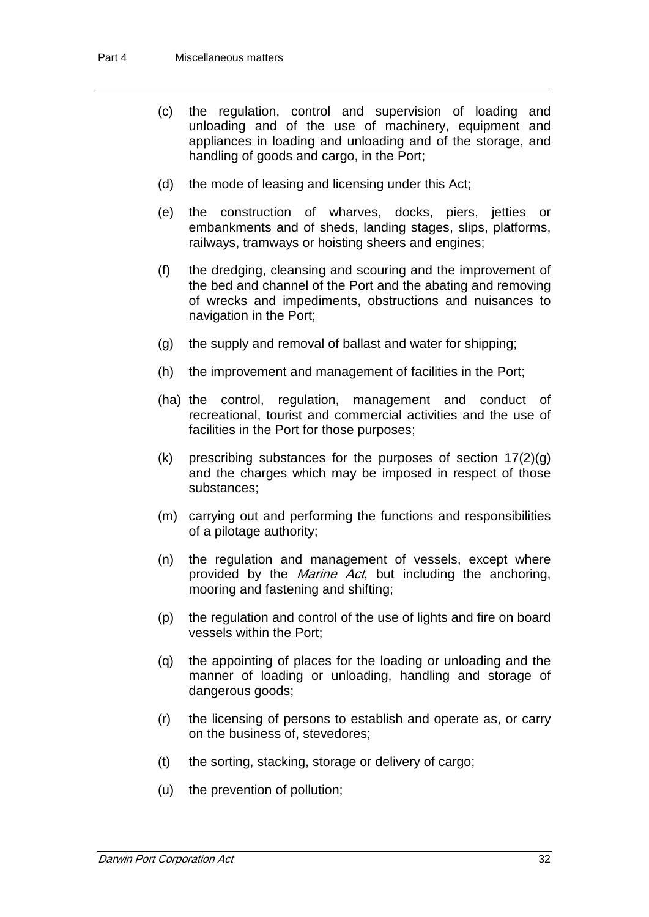- (c) the regulation, control and supervision of loading and unloading and of the use of machinery, equipment and appliances in loading and unloading and of the storage, and handling of goods and cargo, in the Port;
- (d) the mode of leasing and licensing under this Act;
- (e) the construction of wharves, docks, piers, jetties or embankments and of sheds, landing stages, slips, platforms, railways, tramways or hoisting sheers and engines;
- (f) the dredging, cleansing and scouring and the improvement of the bed and channel of the Port and the abating and removing of wrecks and impediments, obstructions and nuisances to navigation in the Port;
- (g) the supply and removal of ballast and water for shipping;
- (h) the improvement and management of facilities in the Port;
- (ha) the control, regulation, management and conduct of recreational, tourist and commercial activities and the use of facilities in the Port for those purposes;
- (k) prescribing substances for the purposes of section 17(2)(g) and the charges which may be imposed in respect of those substances;
- (m) carrying out and performing the functions and responsibilities of a pilotage authority;
- (n) the regulation and management of vessels, except where provided by the *Marine Act*, but including the anchoring, mooring and fastening and shifting;
- (p) the regulation and control of the use of lights and fire on board vessels within the Port;
- (q) the appointing of places for the loading or unloading and the manner of loading or unloading, handling and storage of dangerous goods;
- (r) the licensing of persons to establish and operate as, or carry on the business of, stevedores;
- (t) the sorting, stacking, storage or delivery of cargo;
- (u) the prevention of pollution;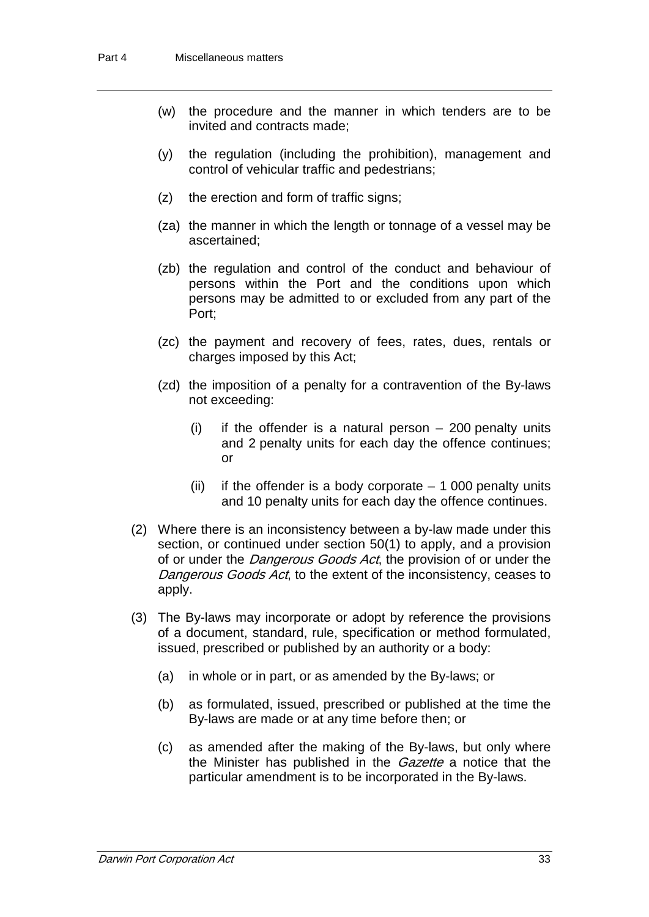- (w) the procedure and the manner in which tenders are to be invited and contracts made;
- (y) the regulation (including the prohibition), management and control of vehicular traffic and pedestrians;
- (z) the erection and form of traffic signs;
- (za) the manner in which the length or tonnage of a vessel may be ascertained;
- (zb) the regulation and control of the conduct and behaviour of persons within the Port and the conditions upon which persons may be admitted to or excluded from any part of the Port;
- (zc) the payment and recovery of fees, rates, dues, rentals or charges imposed by this Act;
- (zd) the imposition of a penalty for a contravention of the By-laws not exceeding:
	- (i) if the offender is a natural person 200 penalty units and 2 penalty units for each day the offence continues; or
	- (ii) if the offender is a body corporate  $-1000$  penalty units and 10 penalty units for each day the offence continues.
- (2) Where there is an inconsistency between a by-law made under this section, or continued under section 50(1) to apply, and a provision of or under the *Dangerous Goods Act*, the provision of or under the Dangerous Goods Act, to the extent of the inconsistency, ceases to apply.
- (3) The By-laws may incorporate or adopt by reference the provisions of a document, standard, rule, specification or method formulated, issued, prescribed or published by an authority or a body:
	- (a) in whole or in part, or as amended by the By-laws; or
	- (b) as formulated, issued, prescribed or published at the time the By-laws are made or at any time before then; or
	- (c) as amended after the making of the By-laws, but only where the Minister has published in the *Gazette* a notice that the particular amendment is to be incorporated in the By-laws.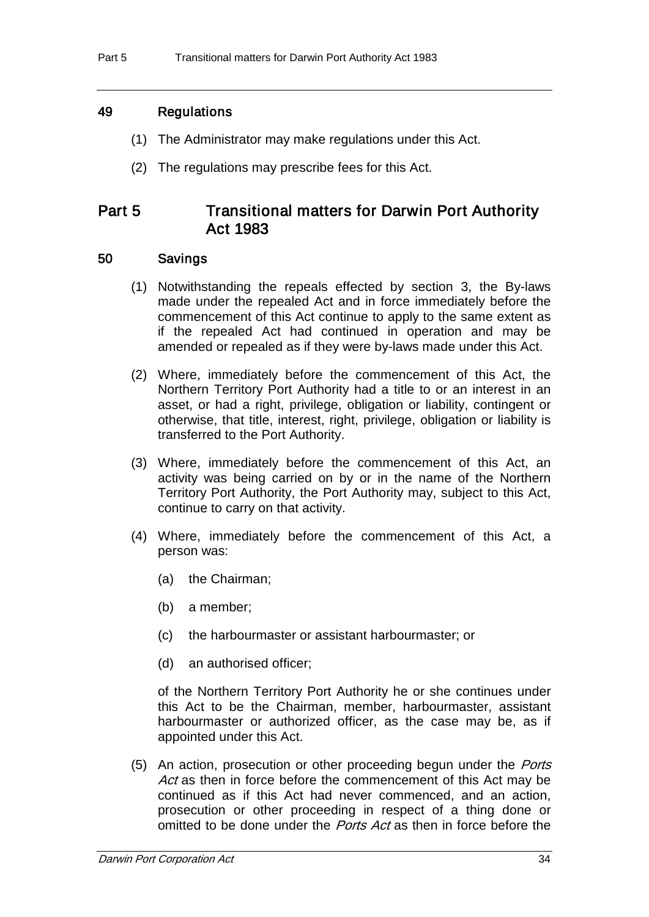# 49 Regulations

- (1) The Administrator may make regulations under this Act.
- (2) The regulations may prescribe fees for this Act.

# Part 5 Transitional matters for Darwin Port Authority Act 1983

### 50 Savings

- (1) Notwithstanding the repeals effected by section 3, the By-laws made under the repealed Act and in force immediately before the commencement of this Act continue to apply to the same extent as if the repealed Act had continued in operation and may be amended or repealed as if they were by-laws made under this Act.
- (2) Where, immediately before the commencement of this Act, the Northern Territory Port Authority had a title to or an interest in an asset, or had a right, privilege, obligation or liability, contingent or otherwise, that title, interest, right, privilege, obligation or liability is transferred to the Port Authority.
- (3) Where, immediately before the commencement of this Act, an activity was being carried on by or in the name of the Northern Territory Port Authority, the Port Authority may, subject to this Act, continue to carry on that activity.
- (4) Where, immediately before the commencement of this Act, a person was:
	- (a) the Chairman;
	- (b) a member;
	- (c) the harbourmaster or assistant harbourmaster; or
	- (d) an authorised officer;

of the Northern Territory Port Authority he or she continues under this Act to be the Chairman, member, harbourmaster, assistant harbourmaster or authorized officer, as the case may be, as if appointed under this Act.

(5) An action, prosecution or other proceeding begun under the *Ports* Act as then in force before the commencement of this Act may be continued as if this Act had never commenced, and an action, prosecution or other proceeding in respect of a thing done or omitted to be done under the *Ports Act* as then in force before the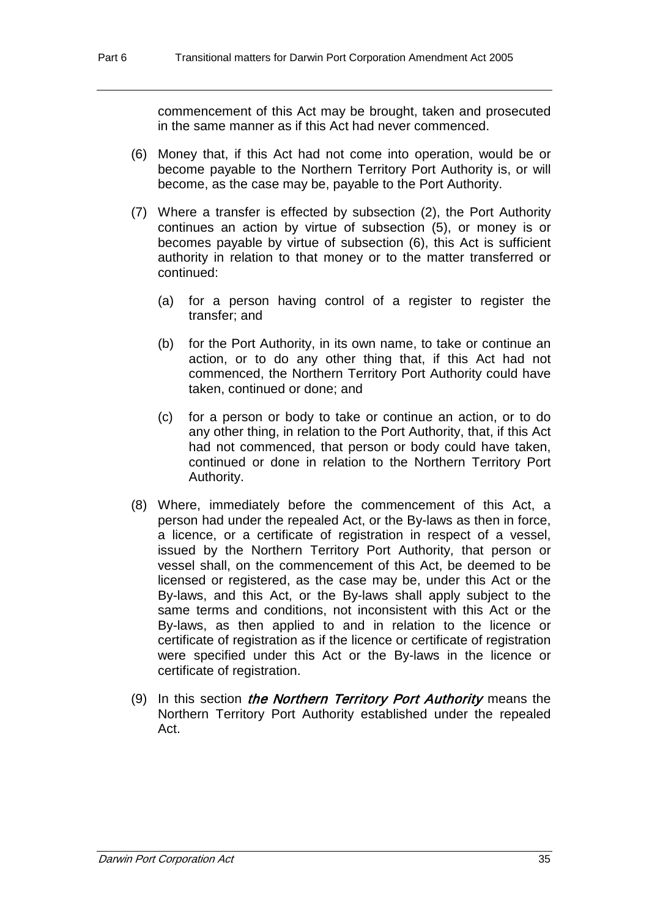commencement of this Act may be brought, taken and prosecuted in the same manner as if this Act had never commenced.

- (6) Money that, if this Act had not come into operation, would be or become payable to the Northern Territory Port Authority is, or will become, as the case may be, payable to the Port Authority.
- (7) Where a transfer is effected by subsection (2), the Port Authority continues an action by virtue of subsection (5), or money is or becomes payable by virtue of subsection (6), this Act is sufficient authority in relation to that money or to the matter transferred or continued:
	- (a) for a person having control of a register to register the transfer; and
	- (b) for the Port Authority, in its own name, to take or continue an action, or to do any other thing that, if this Act had not commenced, the Northern Territory Port Authority could have taken, continued or done; and
	- (c) for a person or body to take or continue an action, or to do any other thing, in relation to the Port Authority, that, if this Act had not commenced, that person or body could have taken, continued or done in relation to the Northern Territory Port Authority.
- (8) Where, immediately before the commencement of this Act, a person had under the repealed Act, or the By-laws as then in force, a licence, or a certificate of registration in respect of a vessel, issued by the Northern Territory Port Authority, that person or vessel shall, on the commencement of this Act, be deemed to be licensed or registered, as the case may be, under this Act or the By-laws, and this Act, or the By-laws shall apply subject to the same terms and conditions, not inconsistent with this Act or the By-laws, as then applied to and in relation to the licence or certificate of registration as if the licence or certificate of registration were specified under this Act or the By-laws in the licence or certificate of registration.
- (9) In this section *the Northern Territory Port Authority* means the Northern Territory Port Authority established under the repealed Act.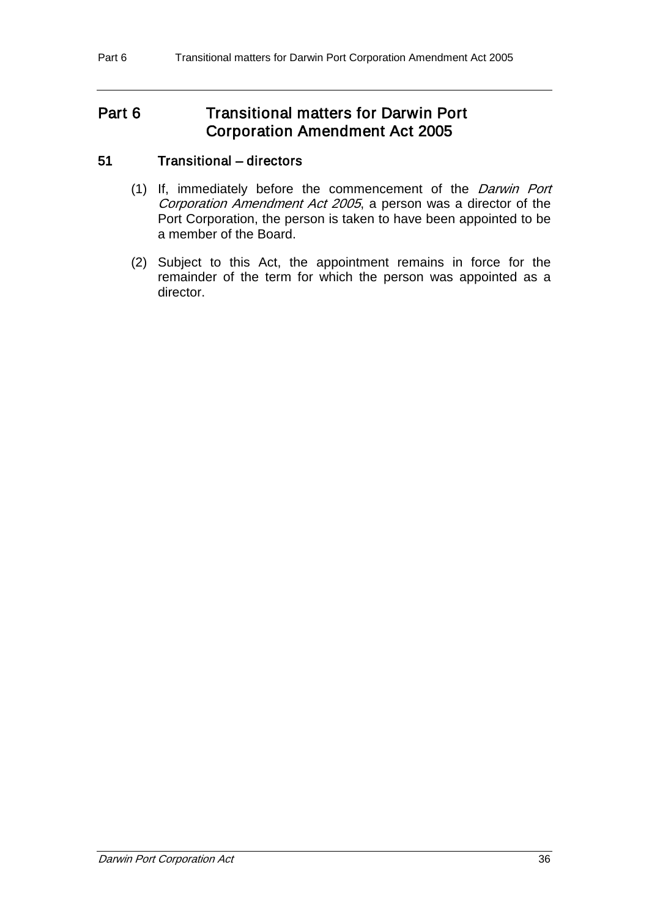# Part 6 **Transitional matters for Darwin Port** Corporation Amendment Act 2005

# 51 Transitional – directors

- (1) If, immediately before the commencement of the Darwin Port Corporation Amendment Act 2005, a person was a director of the Port Corporation, the person is taken to have been appointed to be a member of the Board.
- (2) Subject to this Act, the appointment remains in force for the remainder of the term for which the person was appointed as a director.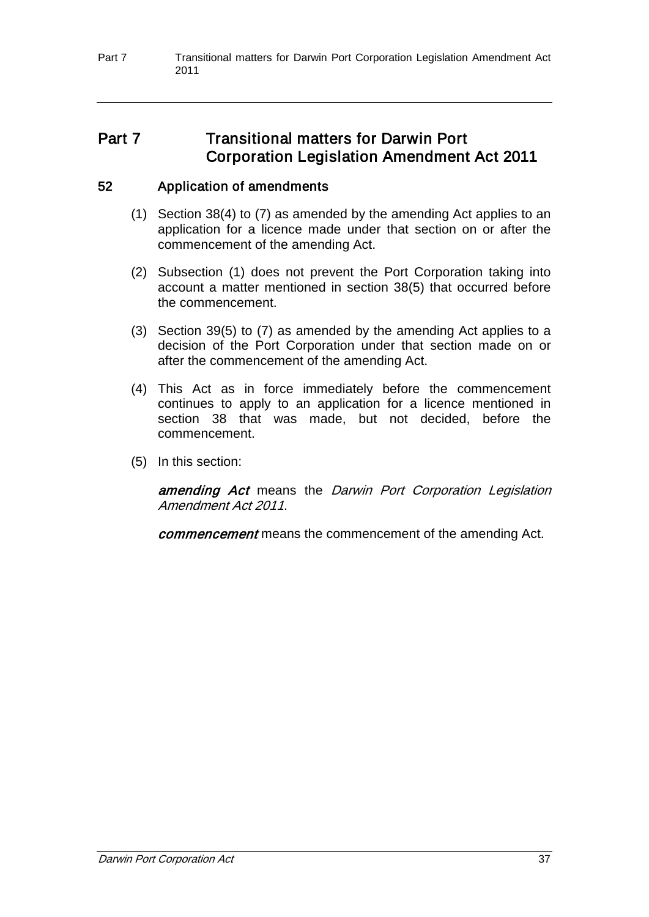# Part 7 Transitional matters for Darwin Port Corporation Legislation Amendment Act 2011

# 52 Application of amendments

- (1) Section 38(4) to (7) as amended by the amending Act applies to an application for a licence made under that section on or after the commencement of the amending Act.
- (2) Subsection (1) does not prevent the Port Corporation taking into account a matter mentioned in section 38(5) that occurred before the commencement.
- (3) Section 39(5) to (7) as amended by the amending Act applies to a decision of the Port Corporation under that section made on or after the commencement of the amending Act.
- (4) This Act as in force immediately before the commencement continues to apply to an application for a licence mentioned in section 38 that was made, but not decided, before the commencement.
- (5) In this section:

amending Act means the Darwin Port Corporation Legislation Amendment Act 2011.

commencement means the commencement of the amending Act.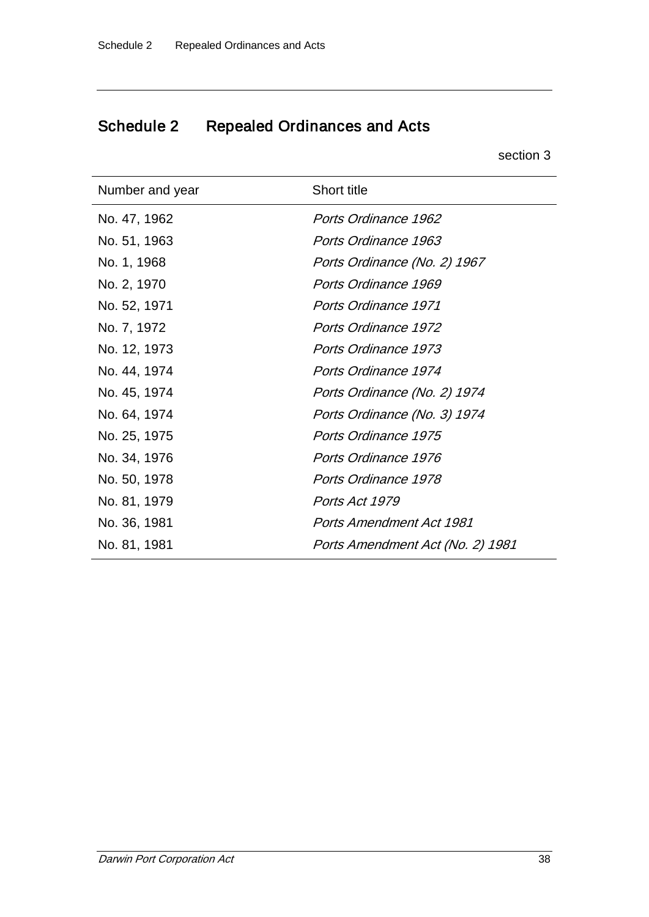# Schedule 2 Repealed Ordinances and Acts

section 3

| Number and year | <b>Short title</b>               |
|-----------------|----------------------------------|
| No. 47, 1962    | Ports Ordinance 1962             |
| No. 51, 1963    | Ports Ordinance 1963             |
| No. 1, 1968     | Ports Ordinance (No. 2) 1967     |
| No. 2, 1970     | Ports Ordinance 1969             |
| No. 52, 1971    | <b>Ports Ordinance 1971</b>      |
| No. 7, 1972     | <b>Ports Ordinance 1972</b>      |
| No. 12, 1973    | Ports Ordinance 1973             |
| No. 44, 1974    | Ports Ordinance 1974             |
| No. 45, 1974    | Ports Ordinance (No. 2) 1974     |
| No. 64, 1974    | Ports Ordinance (No. 3) 1974     |
| No. 25, 1975    | Ports Ordinance 1975             |
| No. 34, 1976    | Ports Ordinance 1976             |
| No. 50, 1978    | Ports Ordinance 1978             |
| No. 81, 1979    | Ports Act 1979                   |
| No. 36, 1981    | <b>Ports Amendment Act 1981</b>  |
| No. 81, 1981    | Ports Amendment Act (No. 2) 1981 |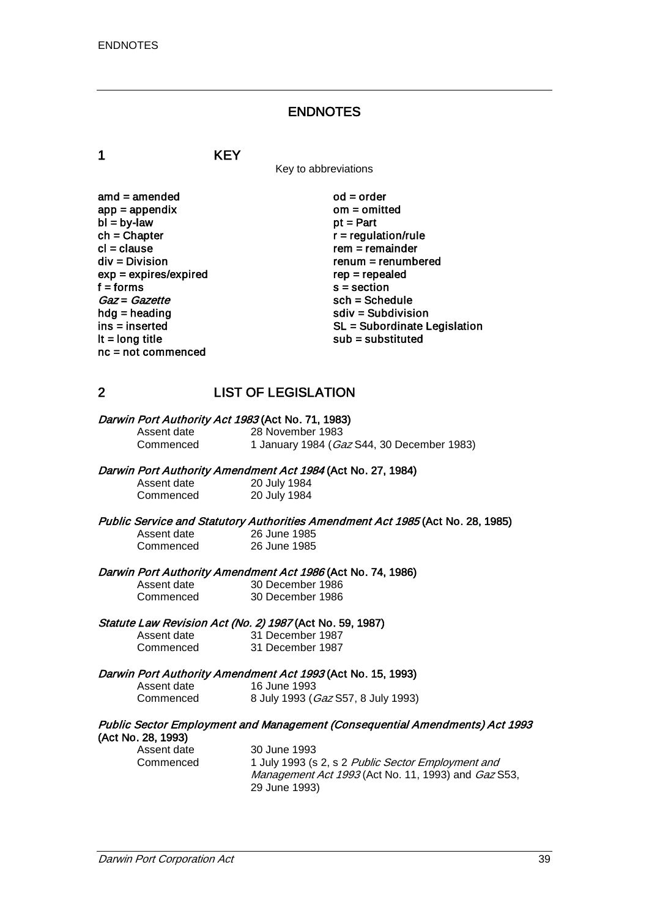#### ENDNOTES

1 KEY

Key to abbreviations

 $\mathsf{and} = \mathsf{amended}$   $\mathsf{ood} = \mathsf{order}$ <br> $\mathsf{app} = \mathsf{appendix}$   $\mathsf{om} = \mathsf{omitted}$  $app = appendix$  om = om<br>  $bl = by-law$  by the py-law  $bl = by-law$ <br>ch = Chapter  $ch = Chapter$ <br>  $cl = clause$ <br>  $cl = clause$ cl = clause rem = remainder<br>div = Division renum = renumb  $exp = expires/expired$ <br>f = forms  $Gaz = Gazette$ <br>hdg = heading hdg = heading sdiv = Subdivision<br>ins = inserted solution<br>SL = Subordinate L nc = not commenced

 $renum = renumbered$ <br> $rep = repeated$  $s = section$ <br> $sch = Schedule$ ins = inserted SL = Subordinate Legislation<br>
It = long title substituted sub = substituted  $sub =$  substituted

# 2 LIST OF LEGISLATION

| Darwin Port Authority Act 1983 (Act No. 71, 1983) |                                                    |
|---------------------------------------------------|----------------------------------------------------|
| Assent date                                       | 28 November 1983                                   |
| Commenced                                         | 1 January 1984 ( <i>Gaz</i> S44, 30 December 1983) |

# Darwin Port Authority Amendment Act 1984 (Act No. 27, 1984)<br>Assent date 1984 20 July 1984

20 July 1984<br>20 July 1984 Commenced

Public Service and Statutory Authorities Amendment Act 1985 (Act No. 28, 1985)<br>Assent date 26 June 1985 Assent date 26 June 1985<br>Commenced 26 June 1985 26 June 1985

Darwin Port Authority Amendment Act 1986 (Act No. 74, 1986)<br>Assent date 30 December 1986

Assent date 30 December 1986<br>Commenced 30 December 1986 30 December 1986

# Statute Law Revision Act (No. 2) 1987 (Act No. 59, 1987)<br>Assent date 31 December 1987

Assent date 31 December 1987<br>Commenced 31 December 1987 31 December 1987

# Darwin Port Authority Amendment Act 1993 (Act No. 15, 1993)<br>Assent date 16 June 1993

Assent date<br>Commenced 8 July 1993 (Gaz S57, 8 July 1993)

# Public Sector Employment and Management (Consequential Amendments) Act 1993 (Act No. 28, 1993)

Assent date 30 June 1993<br>Commenced 1 July 1993 (s)

1 July 1993 (s 2, s 2 Public Sector Employment and Management Act 1993 (Act No. 11, 1993) and Gaz S53, 29 June 1993)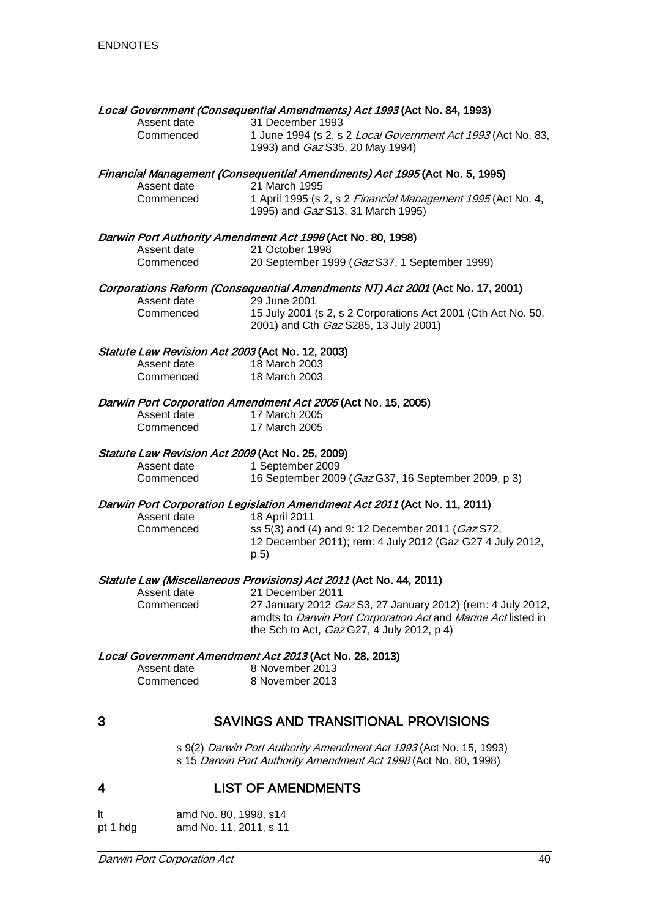| Assent date<br>Commenced                                                                                                    | Local Government (Consequential Amendments) Act 1993 (Act No. 84, 1993)<br>31 December 1993<br>1 June 1994 (s 2, s 2 Local Government Act 1993 (Act No. 83,<br>1993) and Gaz S35, 20 May 1994)                                                                       |
|-----------------------------------------------------------------------------------------------------------------------------|----------------------------------------------------------------------------------------------------------------------------------------------------------------------------------------------------------------------------------------------------------------------|
| Assent date<br>Commenced                                                                                                    | Financial Management (Consequential Amendments) Act 1995 (Act No. 5, 1995)<br>21 March 1995<br>1 April 1995 (s 2, s 2 Financial Management 1995 (Act No. 4,<br>1995) and <i>Gaz</i> S13, 31 March 1995)                                                              |
| Assent date<br>Commenced                                                                                                    | Darwin Port Authority Amendment Act 1998 (Act No. 80, 1998)<br>21 October 1998<br>20 September 1999 (Gaz S37, 1 September 1999)                                                                                                                                      |
| Assent date<br>Commenced                                                                                                    | Corporations Reform (Consequential Amendments NT) Act 2001 (Act No. 17, 2001)<br>29 June 2001<br>15 July 2001 (s 2, s 2 Corporations Act 2001 (Cth Act No. 50,<br>2001) and Cth Gaz S285, 13 July 2001)                                                              |
| Statute Law Revision Act 2003 (Act No. 12, 2003)<br>Assent date<br>Commenced                                                | 18 March 2003<br>18 March 2003                                                                                                                                                                                                                                       |
| Darwin Port Corporation Amendment Act 2005 (Act No. 15, 2005)<br>Assent date<br>17 March 2005<br>17 March 2005<br>Commenced |                                                                                                                                                                                                                                                                      |
| Statute Law Revision Act 2009 (Act No. 25, 2009)<br>Assent date<br>Commenced                                                | 1 September 2009<br>16 September 2009 (Gaz G37, 16 September 2009, p 3)                                                                                                                                                                                              |
| Assent date<br>Commenced                                                                                                    | Darwin Port Corporation Legislation Amendment Act 2011 (Act No. 11, 2011)<br>18 April 2011<br>ss 5(3) and (4) and 9: 12 December 2011 (Gaz S72,<br>12 December 2011); rem: 4 July 2012 (Gaz G27 4 July 2012,<br>p 5)                                                 |
| Assent date<br>Commenced                                                                                                    | Statute Law (Miscellaneous Provisions) Act 2011 (Act No. 44, 2011)<br>21 December 2011<br>27 January 2012 Gaz S3, 27 January 2012) (rem: 4 July 2012,<br>amdts to Darwin Port Corporation Act and Marine Act listed in<br>the Sch to Act, Gaz G27, 4 July 2012, p 4) |
| Assent date<br>Commenced                                                                                                    | Local Government Amendment Act 2013 (Act No. 28, 2013)<br>8 November 2013<br>8 November 2013                                                                                                                                                                         |
| 3                                                                                                                           | SAVINGS AND TRANSITIONAL PROVISIONS                                                                                                                                                                                                                                  |
|                                                                                                                             | s 9(2) Darwin Port Authority Amendment Act 1993 (Act No. 15, 1993)<br>s 15 Darwin Port Authority Amendment Act 1998 (Act No. 80, 1998)                                                                                                                               |
| 4                                                                                                                           | <b>LIST OF AMENDMENTS</b>                                                                                                                                                                                                                                            |

| <b>It</b> | amd No. 80, 1998, s14  |
|-----------|------------------------|
| pt 1 hdg  | amd No. 11, 2011, s 11 |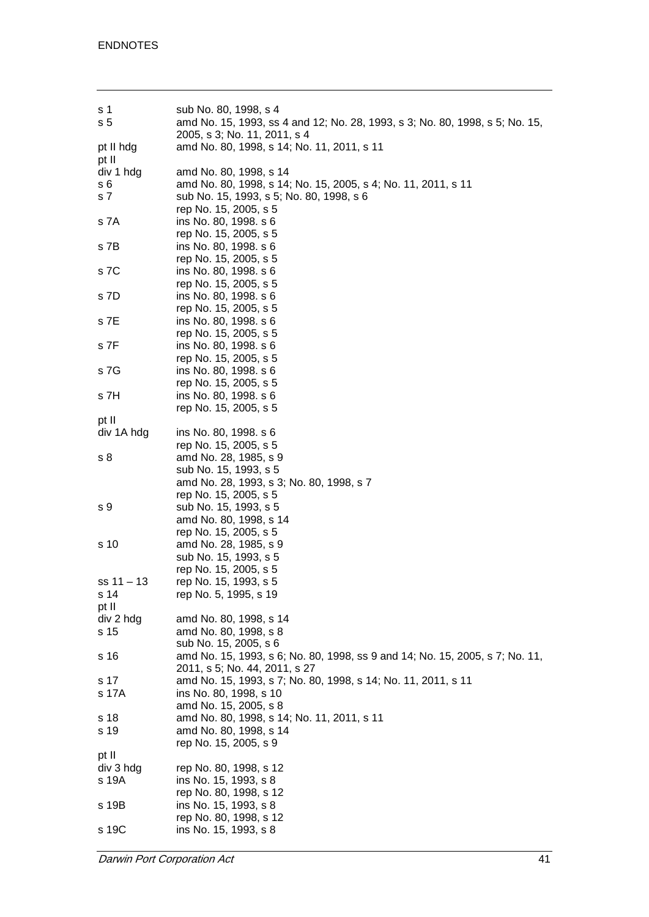| s 1           | sub No. 80, 1998, s 4                                                                   |
|---------------|-----------------------------------------------------------------------------------------|
| s 5           | amd No. 15, 1993, ss 4 and 12; No. 28, 1993, s 3; No. 80, 1998, s 5; No. 15,            |
|               | 2005, s 3; No. 11, 2011, s 4                                                            |
| pt II hdg     | amd No. 80, 1998, s 14; No. 11, 2011, s 11                                              |
| pt II         |                                                                                         |
| div 1 hdg     | amd No. 80, 1998, s 14                                                                  |
| s 6           | amd No. 80, 1998, s 14; No. 15, 2005, s 4; No. 11, 2011, s 11                           |
| s 7           | sub No. 15, 1993, s 5; No. 80, 1998, s 6                                                |
|               | rep No. 15, 2005, s 5                                                                   |
| s 7A          | ins No. 80, 1998. s 6                                                                   |
|               | rep No. 15, 2005, s 5                                                                   |
| s 7B          | ins No. 80, 1998. s 6                                                                   |
|               | rep No. 15, 2005, s 5                                                                   |
| s 7C          | ins No. 80, 1998. s 6                                                                   |
| s 7D          | rep No. 15, 2005, s 5                                                                   |
|               | ins No. 80, 1998. s 6<br>rep No. 15, 2005, s 5                                          |
| s 7E          | ins No. 80, 1998. s 6                                                                   |
|               | rep No. 15, 2005, s 5                                                                   |
| s 7F          | ins No. 80, 1998. s 6                                                                   |
|               | rep No. 15, 2005, s 5                                                                   |
| s 7G          | ins No. 80, 1998. s 6                                                                   |
|               | rep No. 15, 2005, s 5                                                                   |
| s 7H          | ins No. 80, 1998. s 6                                                                   |
|               | rep No. 15, 2005, s 5                                                                   |
| pt II         |                                                                                         |
| div 1A hdg    | ins No. 80, 1998. s 6                                                                   |
|               | rep No. 15, 2005, s 5                                                                   |
| s 8           | amd No. 28, 1985, s 9                                                                   |
|               | sub No. 15, 1993, s 5                                                                   |
|               | amd No. 28, 1993, s 3; No. 80, 1998, s 7                                                |
|               | rep No. 15, 2005, s 5                                                                   |
| s 9           | sub No. 15, 1993, s 5                                                                   |
|               | amd No. 80, 1998, s 14                                                                  |
|               | rep No. 15, 2005, s 5                                                                   |
| s 10          | amd No. 28, 1985, s 9                                                                   |
|               | sub No. 15, 1993, s 5                                                                   |
|               | rep No. 15, 2005, s 5                                                                   |
| ss 11 – 13    | rep No. 15, 1993, s 5                                                                   |
| s 14          | rep No. 5, 1995, s 19                                                                   |
| pt II         |                                                                                         |
| div 2 hdg     | amd No. 80, 1998, s 14                                                                  |
| s 15          | amd No. 80, 1998, s 8                                                                   |
|               | sub No. 15, 2005, s 6                                                                   |
| s 16          | amd No. 15, 1993, s 6; No. 80, 1998, ss 9 and 14; No. 15, 2005, s 7; No. 11,            |
|               | 2011, s 5; No. 44, 2011, s 27                                                           |
| s 17<br>s 17A | amd No. 15, 1993, s 7; No. 80, 1998, s 14; No. 11, 2011, s 11<br>ins No. 80, 1998, s 10 |
|               | amd No. 15, 2005, s 8                                                                   |
| s 18          | amd No. 80, 1998, s 14; No. 11, 2011, s 11                                              |
| s 19          | amd No. 80, 1998, s 14                                                                  |
|               | rep No. 15, 2005, s 9                                                                   |
| pt II         |                                                                                         |
| div 3 hdg     | rep No. 80, 1998, s 12                                                                  |
| s 19A         | ins No. 15, 1993, s 8                                                                   |
|               | rep No. 80, 1998, s 12                                                                  |
| s 19B         | ins No. 15, 1993, s 8                                                                   |
|               | rep No. 80, 1998, s 12                                                                  |
| s 19C         | ins No. 15, 1993, s 8                                                                   |

**Darwin Port Corporation Act** 41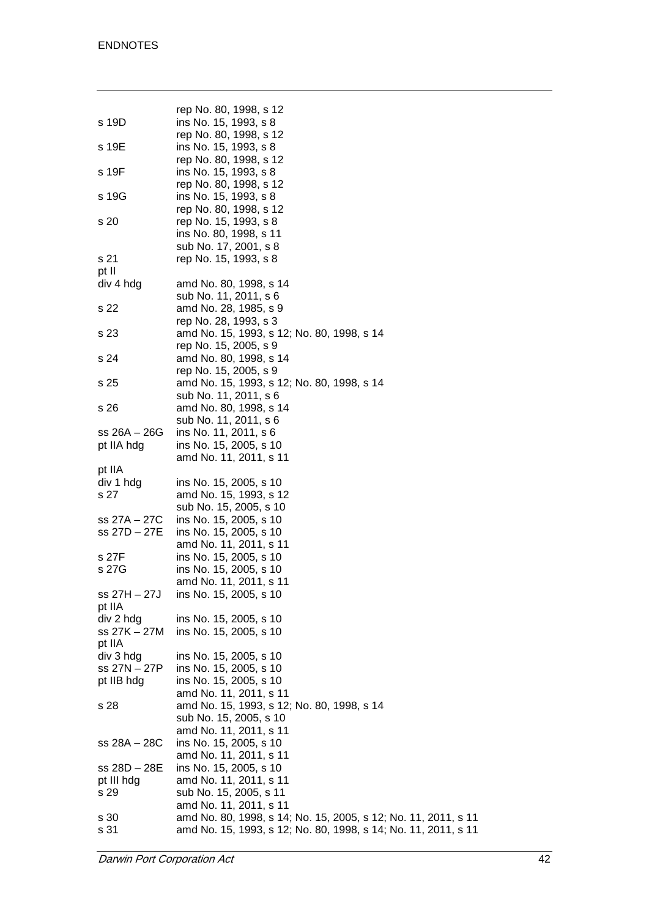|                     | rep No. 80, 1998, s 12                                         |
|---------------------|----------------------------------------------------------------|
| s 19D               | ins No. 15, 1993, s 8                                          |
|                     | rep No. 80, 1998, s 12                                         |
| s 19E               | ins No. 15, 1993, s 8                                          |
|                     | rep No. 80, 1998, s 12                                         |
| s 19F               | ins No. 15, 1993, s 8                                          |
|                     | rep No. 80, 1998, s 12                                         |
| s 19G               | ins No. 15, 1993, s 8                                          |
|                     | rep No. 80, 1998, s 12                                         |
| s 20                | rep No. 15, 1993, s 8                                          |
|                     | ins No. 80, 1998, s 11                                         |
|                     | sub No. 17, 2001, s 8                                          |
| s 21                | rep No. 15, 1993, s 8                                          |
| pt II               |                                                                |
| div 4 hdg           | amd No. 80, 1998, s 14                                         |
|                     |                                                                |
|                     | sub No. 11, 2011, s 6                                          |
| s 22                | amd No. 28, 1985, s 9                                          |
|                     | rep No. 28, 1993, s 3                                          |
| s 23                | amd No. 15, 1993, s 12; No. 80, 1998, s 14                     |
|                     | rep No. 15, 2005, s 9                                          |
| s 24                | amd No. 80, 1998, s 14                                         |
|                     | rep No. 15, 2005, s 9                                          |
| s 25                | amd No. 15, 1993, s 12; No. 80, 1998, s 14                     |
|                     | sub No. 11, 2011, s 6                                          |
| s 26                | amd No. 80, 1998, s 14                                         |
|                     | sub No. 11, 2011, s 6                                          |
| ss 26A – 26G        | ins No. 11, 2011, s 6                                          |
| pt IIA hdg          | ins No. 15, 2005, s 10<br>amd No. 11, 2011, s 11               |
|                     |                                                                |
| pt IIA<br>div 1 hdg | ins No. 15, 2005, s 10                                         |
| s 27                | amd No. 15, 1993, s 12                                         |
|                     |                                                                |
| ss 27A – 27C        | sub No. 15, 2005, s 10                                         |
| ss 27D – 27E        | ins No. 15, 2005, s 10                                         |
|                     | ins No. 15, 2005, s 10                                         |
|                     | amd No. 11, 2011, s 11                                         |
| s 27F<br>s 27G      | ins No. 15, 2005, s 10                                         |
|                     | ins No. 15, 2005, s 10                                         |
| ss 27H - 27J        | amd No. 11, 2011, s 11<br>ins No. 15, 2005, s 10               |
|                     |                                                                |
| pt IIA<br>div 2 hdg | ins No. 15, 2005, s 10                                         |
| ss 27K – 27M        | ins No. 15, 2005, s 10                                         |
| pt IIA              |                                                                |
| div 3 hdg           | ins No. 15, 2005, s 10                                         |
| ss 27N – 27P        | ins No. 15, 2005, s 10                                         |
| pt IIB hdg          | ins No. 15, 2005, s 10                                         |
|                     | amd No. 11, 2011, s 11                                         |
|                     | amd No. 15, 1993, s 12; No. 80, 1998, s 14                     |
| s 28                | sub No. 15, 2005, s 10                                         |
|                     | amd No. 11, 2011, s 11                                         |
| ss 28A – 28C        | ins No. 15, 2005, s 10                                         |
|                     |                                                                |
| ss 28D - 28E        | amd No. 11, 2011, s 11<br>ins No. 15, 2005, s 10               |
| pt III hdg          | amd No. 11, 2011, s 11                                         |
| s 29                | sub No. 15, 2005, s 11                                         |
|                     | amd No. 11, 2011, s 11                                         |
| s 30                | amd No. 80, 1998, s 14; No. 15, 2005, s 12; No. 11, 2011, s 11 |
| s 31                | amd No. 15, 1993, s 12; No. 80, 1998, s 14; No. 11, 2011, s 11 |
|                     |                                                                |

**Darwin Port Corporation Act** 42